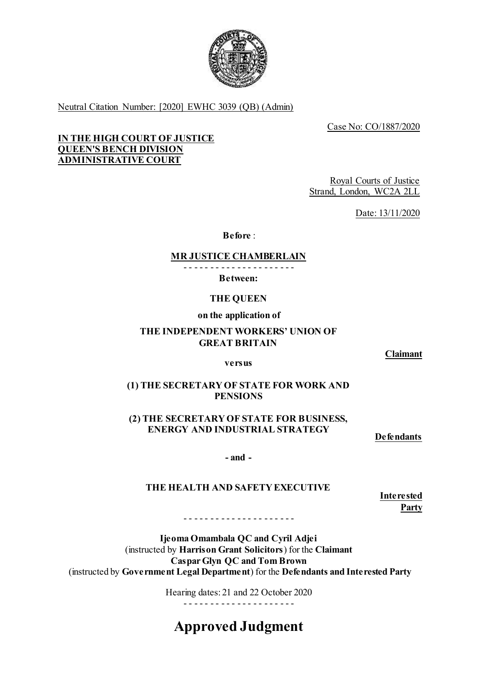

Neutral Citation Number: [2020] EWHC 3039 (QB) (Admin)

Case No: CO/1887/2020

## **QUEEN'S BENCH DIVISION IN THE HIGH COURT OF JUSTICE ADMINISTRATIVE COURT**

 Royal Courts of Justice Strand, London, WC2A 2LL

Date: 13/11/2020

**Before** :

# **MR JUSTICE CHAMBERLAIN**

- - - - - - - - - - - - - - - - - - - - -

**Between:** 

**THE QUEEN** 

 **on the application of** 

## **THE INDEPENDENT WORKERS' UNION OF GREAT BRITAIN**

**Claimant** 

## **versus**

# **(1) THE SECRETARY OF STATE FOR WORK AND PENSIONS**

 **ENERGY AND INDUSTRIAL STRATEGY (2) THE SECRETARY OF STATE FOR BUSINESS,** 

**Defendants** 

**- and -**

# **THE HEALTH AND SAFETY EXECUTIVE**

**Interested Party** 

- - - - - - - - - - - - - - - - - - - - -

 **Ijeoma Omambala QC and Cyril Adjei Caspar Glyn QC and Tom Brown**  (instructed by **Government Legal Department**) for the **Defendants and Interested Party**  (instructed by **Harrison Grant Solicitors**) for the **Claimant** 

> Hearing dates: 21 and 22 October 2020 - - - - - - - - - - - - - - - - - - - - -

# **Approved Judgment**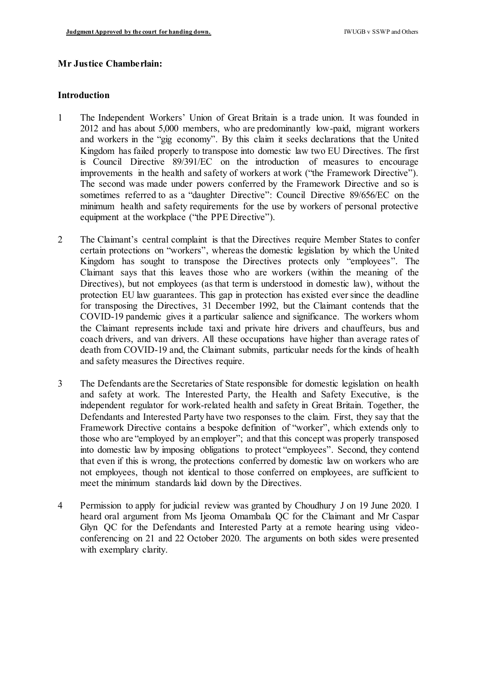## **Mr Justice Chamberlain:**

#### **Introduction**

- 1 The Independent Workers' Union of Great Britain is a trade union. It was founded in 2012 and has about 5,000 members, who are predominantly low-paid, migrant workers and workers in the "gig economy". By this claim it seeks declarations that the United Kingdom has failed properly to transpose into domestic law two EU Directives. The first is Council Directive 89/391/EC on the introduction of measures to encourage improvements in the health and safety of workers at work ("the Framework Directive"). The second was made under powers conferred by the Framework Directive and so is sometimes referred to as a "daughter Directive": Council Directive 89/656/EC on the minimum health and safety requirements for the use by workers of personal protective equipment at the workplace ("the PPE Directive").
- 2 The Claimant's central complaint is that the Directives require Member States to confer certain protections on "workers", whereas the domestic legislation by which the United Kingdom has sought to transpose the Directives protects only "employees". The Claimant says that this leaves those who are workers (within the meaning of the Directives), but not employees (as that term is understood in domestic law), without the protection EU law guarantees. This gap in protection has existed ever since the deadline for transposing the Directives, 31 December 1992, but the Claimant contends that the COVID-19 pandemic gives it a particular salience and significance. The workers whom the Claimant represents include taxi and private hire drivers and chauffeurs, bus and coach drivers, and van drivers. All these occupations have higher than average rates of death from COVID-19 and, the Claimant submits, particular needs for the kinds of health and safety measures the Directives require.
- 3 The Defendants are the Secretaries of State responsible for domestic legislation on health and safety at work. The Interested Party, the Health and Safety Executive, is the independent regulator for work-related health and safety in Great Britain. Together, the Defendants and Interested Party have two responses to the claim. First, they say that the Framework Directive contains a bespoke definition of "worker", which extends only to those who are "employed by an employer"; and that this concept was properly transposed into domestic law by imposing obligations to protect "employees". Second, they contend that even if this is wrong, the protections conferred by domestic law on workers who are not employees, though not identical to those conferred on employees, are sufficient to meet the minimum standards laid down by the Directives.
- 4 Permission to apply for judicial review was granted by Choudhury J on 19 June 2020. I heard oral argument from Ms Ijeoma Omambala QC for the Claimant and Mr Caspar Glyn QC for the Defendants and Interested Party at a remote hearing using video- conferencing on 21 and 22 October 2020. The arguments on both sides were presented with exemplary clarity.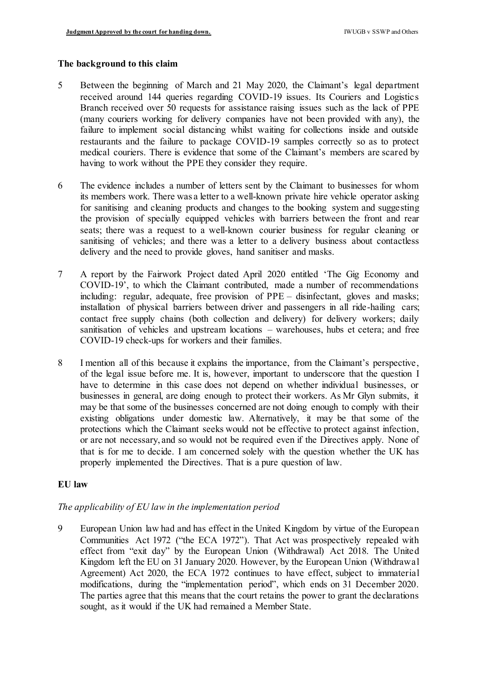## **The background to this claim**

- 5 Between the beginning of March and 21 May 2020, the Claimant's legal department received around 144 queries regarding COVID-19 issues. Its Couriers and Logistics Branch received over 50 requests for assistance raising issues such as the lack of PPE (many couriers working for delivery companies have not been provided with any), the failure to implement social distancing whilst waiting for collections inside and outside restaurants and the failure to package COVID-19 samples correctly so as to protect medical couriers. There is evidence that some of the Claimant's members are scared by having to work without the PPE they consider they require.
- 6 The evidence includes a number of letters sent by the Claimant to businesses for whom its members work. There was a letter to a well-known private hire vehicle operator asking for sanitising and cleaning products and changes to the booking system and suggesting the provision of specially equipped vehicles with barriers between the front and rear seats; there was a request to a well-known courier business for regular cleaning or sanitising of vehicles; and there was a letter to a delivery business about contactless delivery and the need to provide gloves, hand sanitiser and masks.
- 7 A report by the Fairwork Project dated April 2020 entitled 'The Gig Economy and COVID-19', to which the Claimant contributed, made a number of recommendations including: regular, adequate, free provision of PPE – disinfectant, gloves and masks; installation of physical barriers between driver and passengers in all ride-hailing cars; contact free supply chains (both collection and delivery) for delivery workers; daily sanitisation of vehicles and upstream locations – warehouses, hubs et cetera; and free COVID-19 check-ups for workers and their families.
- 8 I mention all of this because it explains the importance, from the Claimant's perspective, of the legal issue before me. It is, however, important to underscore that the question I have to determine in this case does not depend on whether individual businesses, or businesses in general, are doing enough to protect their workers. As Mr Glyn submits, it may be that some of the businesses concerned are not doing enough to comply with their existing obligations under domestic law. Alternatively, it may be that some of the protections which the Claimant seeks would not be effective to protect against infection, or are not necessary, and so would not be required even if the Directives apply. None of that is for me to decide. I am concerned solely with the question whether the UK has properly implemented the Directives. That is a pure question of law.

## **EU law**

## *The applicability of EU law in the implementation period*

 9 European Union law had and has effect in the United Kingdom by virtue of the European Communities Act 1972 ("the ECA 1972"). That Act was prospectively repealed with effect from "exit day" by the European Union (Withdrawal) Act 2018. The United Kingdom left the EU on 31 January 2020. However, by the European Union (Withdrawal Agreement) Act 2020, the ECA 1972 continues to have effect, subject to immaterial modifications, during the "implementation period", which ends on 31 December 2020. The parties agree that this means that the court retains the power to grant the declarations sought, as it would if the UK had remained a Member State.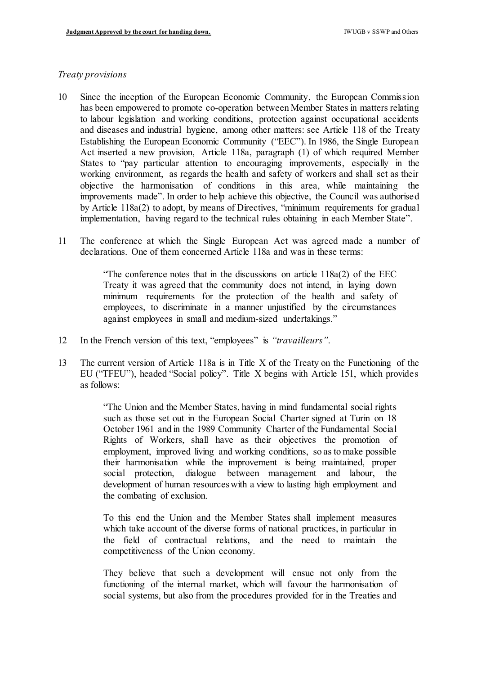#### *Treaty provisions*

- 10 Since the inception of the European Economic Community, the European Commission has been empowered to promote co-operation between Member States in matters relating to labour legislation and working conditions, protection against occupational accidents and diseases and industrial hygiene, among other matters: see Article 118 of the Treaty Establishing the European Economic Community ("EEC"). In 1986, the Single European Act inserted a new provision, Article 118a, paragraph (1) of which required Member States to "pay particular attention to encouraging improvements, especially in the working environment, as regards the health and safety of workers and shall set as their objective the harmonisation of conditions in this area, while maintaining the improvements made". In order to help achieve this objective, the Council was authorised by Article 118a(2) to adopt, by means of Directives, "minimum requirements for gradual implementation, having regard to the technical rules obtaining in each Member State".
- 11 The conference at which the Single European Act was agreed made a number of declarations. One of them concerned Article 118a and was in these terms:

 "The conference notes that in the discussions on article 118a(2) of the EEC Treaty it was agreed that the community does not intend, in laying down minimum requirements for the protection of the health and safety of employees, to discriminate in a manner unjustified by the circumstances against employees in small and medium-sized undertakings."

- 12 In the French version of this text, "employees" is *"travailleurs"*.
- 13 The current version of Article 118a is in Title X of the Treaty on the Functioning of the EU ("TFEU"), headed "Social policy". Title X begins with Article 151, which provides as follows:

 "The Union and the Member States, having in mind fundamental social rights such as those set out in the European Social Charter signed at Turin on 18 October 1961 and in the 1989 Community Charter of the Fundamental Social Rights of Workers, shall have as their objectives the promotion of employment, improved living and working conditions, so as to make possible their harmonisation while the improvement is being maintained, proper social protection, dialogue between management and labour, the development of human resources with a view to lasting high employment and the combating of exclusion.

 To this end the Union and the Member States shall implement measures which take account of the diverse forms of national practices, in particular in the field of contractual relations, and the need to maintain the competitiveness of the Union economy.

 They believe that such a development will ensue not only from the functioning of the internal market, which will favour the harmonisation of social systems, but also from the procedures provided for in the Treaties and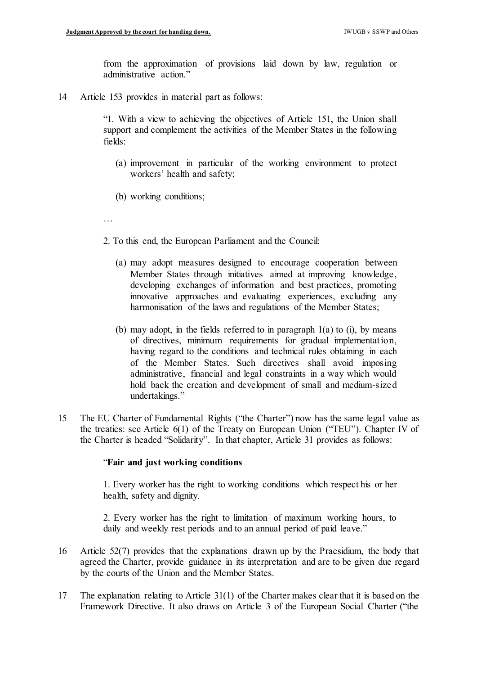from the approximation of provisions laid down by law, regulation or administrative action."

14 Article 153 provides in material part as follows:

 "1. With a view to achieving the objectives of Article 151, the Union shall support and complement the activities of the Member States in the following fields:

- (a) improvement in particular of the working environment to protect workers' health and safety;
- (b) working conditions;
- …
- 2. To this end, the European Parliament and the Council:
	- (a) may adopt measures designed to encourage cooperation between Member States through initiatives aimed at improving knowledge, developing exchanges of information and best practices, promoting innovative approaches and evaluating experiences, excluding any harmonisation of the laws and regulations of the Member States;
	- (b) may adopt, in the fields referred to in paragraph  $1(a)$  to  $(i)$ , by means of directives, minimum requirements for gradual implementation, having regard to the conditions and technical rules obtaining in each of the Member States. Such directives shall avoid imposing administrative, financial and legal constraints in a way which would hold back the creation and development of small and medium-sized undertakings."
- 15 The EU Charter of Fundamental Rights ("the Charter") now has the same legal value as the treaties: see Article 6(1) of the Treaty on European Union ("TEU"). Chapter IV of the Charter is headed "Solidarity". In that chapter, Article 31 provides as follows:

#### "**Fair and just working conditions**

 1. Every worker has the right to working conditions which respect his or her health, safety and dignity.

 2. Every worker has the right to limitation of maximum working hours, to daily and weekly rest periods and to an annual period of paid leave."

- 16 Article 52(7) provides that the explanations drawn up by the Praesidium, the body that agreed the Charter, provide guidance in its interpretation and are to be given due regard by the courts of the Union and the Member States.
- 17 The explanation relating to Article 31(1) of the Charter makes clear that it is based on the Framework Directive. It also draws on Article 3 of the European Social Charter ("the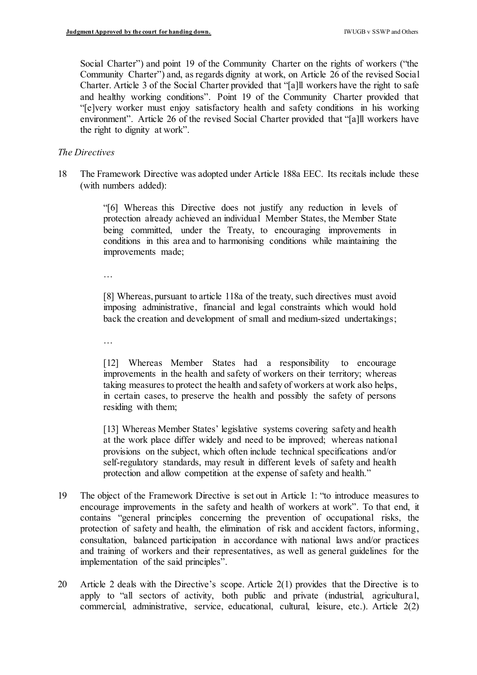Social Charter") and point 19 of the Community Charter on the rights of workers ("the Community Charter") and, as regards dignity at work, on Article 26 of the revised Social Charter. Article 3 of the Social Charter provided that "[a]ll workers have the right to safe and healthy working conditions". Point 19 of the Community Charter provided that "[e]very worker must enjoy satisfactory health and safety conditions in his working environment". Article 26 of the revised Social Charter provided that "[a]ll workers have the right to dignity at work".

## *The Directives*

 18 The Framework Directive was adopted under Article 188a EEC. Its recitals include these (with numbers added):

> "[6] Whereas this Directive does not justify any reduction in levels of protection already achieved an individual Member States, the Member State being committed, under the Treaty, to encouraging improvements in conditions in this area and to harmonising conditions while maintaining the improvements made;

…

 [8] Whereas, pursuant to article 118a of the treaty, such directives must avoid imposing administrative, financial and legal constraints which would hold back the creation and development of small and medium-sized undertakings;

…

 [12] Whereas Member States had a responsibility to encourage improvements in the health and safety of workers on their territory; whereas taking measures to protect the health and safety of workers at work also helps, in certain cases, to preserve the health and possibly the safety of persons residing with them;

 [13] Whereas Member States' legislative systems covering safety and health at the work place differ widely and need to be improved; whereas national provisions on the subject, which often include technical specifications and/or self-regulatory standards, may result in different levels of safety and health protection and allow competition at the expense of safety and health."

- 19 The object of the Framework Directive is set out in Article 1: "to introduce measures to encourage improvements in the safety and health of workers at work". To that end, it contains "general principles concerning the prevention of occupational risks, the protection of safety and health, the elimination of risk and accident factors, informing, consultation, balanced participation in accordance with national laws and/or practices and training of workers and their representatives, as well as general guidelines for the implementation of the said principles".
- 20 Article 2 deals with the Directive's scope. Article  $2(1)$  provides that the Directive is to apply to "all sectors of activity, both public and private (industrial, agricultural, commercial, administrative, service, educational, cultural, leisure, etc.). Article 2(2)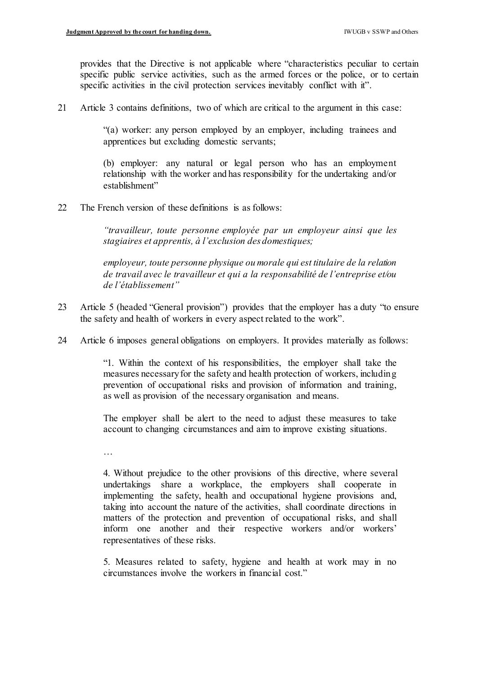provides that the Directive is not applicable where "characteristics peculiar to certain specific public service activities, such as the armed forces or the police, or to certain specific activities in the civil protection services inevitably conflict with it".

21 Article 3 contains definitions, two of which are critical to the argument in this case:

 "(a) worker: any person employed by an employer, including trainees and apprentices but excluding domestic servants;

 (b) employer: any natural or legal person who has an employment relationship with the worker and has responsibility for the undertaking and/or establishment"

22 The French version of these definitions is as follows:

 *"travailleur, toute personne employée par un employeur ainsi que les stagiaires et apprentis, à l'exclusion des domestiques;*

 *employeur, toute personne physique ou morale qui est titulaire de la relation de travail avec le travailleur et qui a la responsabilité de l'entreprise et/ou de l'établissement"*

- 23 Article 5 (headed "General provision") provides that the employer has a duty "to ensure the safety and health of workers in every aspect related to the work".
- 24 Article 6 imposes general obligations on employers. It provides materially as follows:

 "1. Within the context of his responsibilities, the employer shall take the measures necessaryfor the safety and health protection of workers, including prevention of occupational risks and provision of information and training, as well as provision of the necessary organisation and means.

 The employer shall be alert to the need to adjust these measures to take account to changing circumstances and aim to improve existing situations.

…

 4. Without prejudice to the other provisions of this directive, where several undertakings share a workplace, the employers shall cooperate in implementing the safety, health and occupational hygiene provisions and, taking into account the nature of the activities, shall coordinate directions in matters of the protection and prevention of occupational risks, and shall inform one another and their respective workers and/or workers' representatives of these risks.

 5. Measures related to safety, hygiene and health at work may in no circumstances involve the workers in financial cost."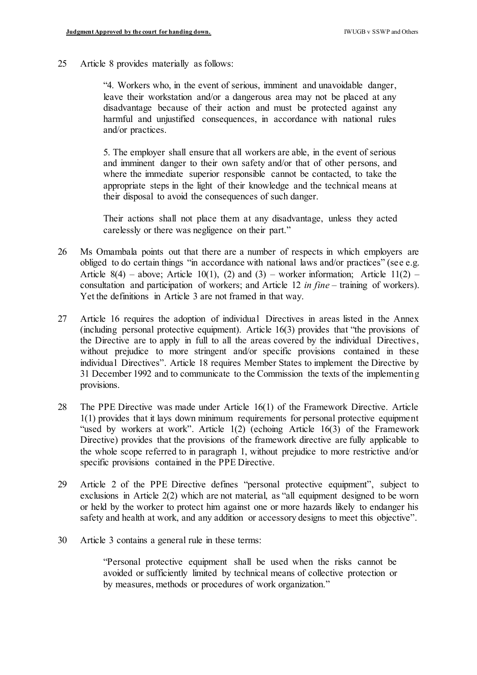25 Article 8 provides materially as follows:

 "4. Workers who, in the event of serious, imminent and unavoidable danger, leave their workstation and/or a dangerous area may not be placed at any disadvantage because of their action and must be protected against any harmful and unjustified consequences, in accordance with national rules and/or practices.

 5. The employer shall ensure that all workers are able, in the event of serious and imminent danger to their own safety and/or that of other persons, and where the immediate superior responsible cannot be contacted, to take the appropriate steps in the light of their knowledge and the technical means at their disposal to avoid the consequences of such danger.

 Their actions shall not place them at any disadvantage, unless they acted carelessly or there was negligence on their part."

- 26 Ms Omambala points out that there are a number of respects in which employers are obliged to do certain things "in accordance with national laws and/or practices" (see e.g. Article  $8(4)$  – above; Article 10(1), (2) and (3) – worker information; Article 11(2) – consultation and participation of workers; and Article 12 *in fine* – training of workers). Yet the definitions in Article 3 are not framed in that way.
- 27 Article 16 requires the adoption of individual Directives in areas listed in the Annex (including personal protective equipment). Article 16(3) provides that "the provisions of the Directive are to apply in full to all the areas covered by the individual Directives, without prejudice to more stringent and/or specific provisions contained in these individual Directives". Article 18 requires Member States to implement the Directive by 31 December 1992 and to communicate to the Commission the texts of the implementing provisions.
- 28 The PPE Directive was made under Article 16(1) of the Framework Directive. Article 1(1) provides that it lays down minimum requirements for personal protective equipment "used by workers at work". Article 1(2) (echoing Article 16(3) of the Framework Directive) provides that the provisions of the framework directive are fully applicable to the whole scope referred to in paragraph 1, without prejudice to more restrictive and/or specific provisions contained in the PPE Directive.
- 29 Article 2 of the PPE Directive defines "personal protective equipment", subject to exclusions in Article 2(2) which are not material, as "all equipment designed to be worn or held by the worker to protect him against one or more hazards likely to endanger his safety and health at work, and any addition or accessory designs to meet this objective".
- 30 Article 3 contains a general rule in these terms:

 "Personal protective equipment shall be used when the risks cannot be avoided or sufficiently limited by technical means of collective protection or by measures, methods or procedures of work organization."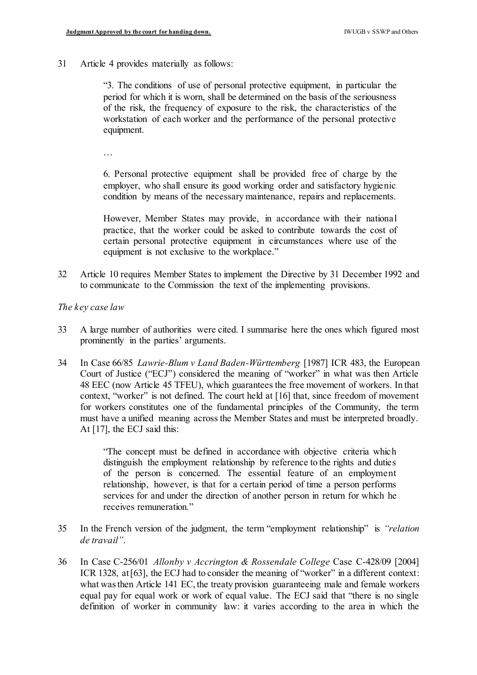31 Article 4 provides materially as follows:

 "3. The conditions of use of personal protective equipment, in particular the period for which it is worn, shall be determined on the basis of the seriousness of the risk, the frequency of exposure to the risk, the characteristics of the workstation of each worker and the performance of the personal protective equipment.

…

 6. Personal protective equipment shall be provided free of charge by the employer, who shall ensure its good working order and satisfactory hygienic condition by means of the necessary maintenance, repairs and replacements.

 However, Member States may provide, in accordance with their national practice, that the worker could be asked to contribute towards the cost of certain personal protective equipment in circumstances where use of the equipment is not exclusive to the workplace."

 32 Article 10 requires Member States to implement the Directive by 31 December 1992 and to communicate to the Commission the text of the implementing provisions.

 *The key case law* 

- 33 A large number of authorities were cited. I summarise here the ones which figured most prominently in the parties' arguments.
- 34 In Case 66/85 *Lawrie-Blum v Land Baden-Württemberg* [1987] ICR 483, the European Court of Justice ("ECJ") considered the meaning of "worker" in what was then Article 48 EEC (now Article 45 TFEU), which guarantees the free movement of workers. In that context, "worker" is not defined. The court held at [16] that, since freedom of movement for workers constitutes one of the fundamental principles of the Community, the term must have a unified meaning across the Member States and must be interpreted broadly. At [17], the ECJ said this:

 "The concept must be defined in accordance with objective criteria which distinguish the employment relationship by reference to the rights and duties of the person is concerned. The essential feature of an employment relationship, however, is that for a certain period of time a person performs services for and under the direction of another person in return for which he receives remuneration."

- 35 In the French version of the judgment, the term "employment relationship" is *"relation de travail"*.
- 36 In Case C-256/01 *Allonby v Accrington & Rossendale College* Case C-428/09 [2004] ICR 1328, at [63], the ECJ had to consider the meaning of "worker" in a different context: what was then Article 141 EC, the treaty provision guaranteeing male and female workers equal pay for equal work or work of equal value. The ECJ said that "there is no single definition of worker in community law: it varies according to the area in which the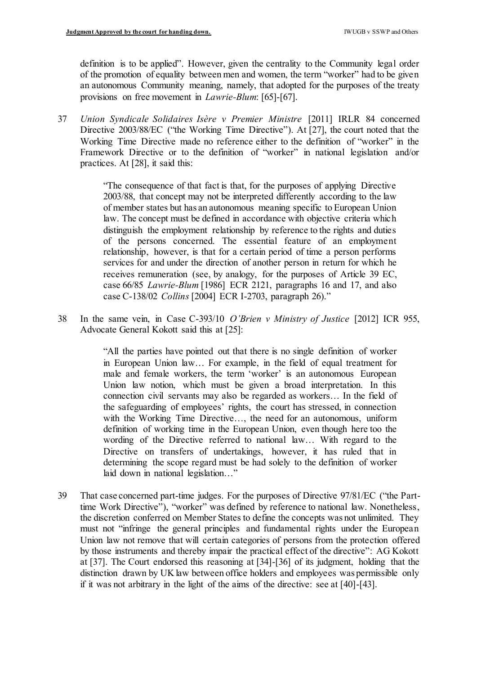definition is to be applied". However, given the centrality to the Community legal order of the promotion of equality between men and women, the term "worker" had to be given an autonomous Community meaning, namely, that adopted for the purposes of the treaty provisions on free movement in *Lawrie-Blum*: [65]-[67].

 37 *Union Syndicale Solidaires Isère v Premier Ministre* [2011] IRLR 84 concerned Directive 2003/88/EC ("the Working Time Directive"). At [27], the court noted that the Working Time Directive made no reference either to the definition of "worker" in the Framework Directive or to the definition of "worker" in national legislation and/or practices. At [28], it said this:

> "The consequence of that fact is that, for the purposes of applying Directive 2003/88, that concept may not be interpreted differently according to the law of member states but has an autonomous meaning specific to European Union law. The concept must be defined in accordance with objective criteria which distinguish the employment relationship by reference to the rights and duties of the persons concerned. The essential feature of an employment relationship, however, is that for a certain period of time a person performs services for and under the direction of another person in return for which he receives remuneration (see, by analogy, for the purposes of Article 39 EC, case 66/85 *Lawrie-Blum* [1986] ECR 2121, paragraphs 16 and 17, and also case C-138/02 *Collins* [2004] ECR I-2703, paragraph 26)."

 38 In the same vein, in Case C-393/10 *O'Brien v Ministry of Justice* [2012] ICR 955, Advocate General Kokott said this at [25]:

> "All the parties have pointed out that there is no single definition of worker in European Union law… For example, in the field of equal treatment for male and female workers, the term 'worker' is an autonomous European Union law notion, which must be given a broad interpretation. In this connection civil servants may also be regarded as workers… In the field of the safeguarding of employees' rights, the court has stressed, in connection with the Working Time Directive…, the need for an autonomous, uniform definition of working time in the European Union, even though here too the wording of the Directive referred to national law… With regard to the Directive on transfers of undertakings, however, it has ruled that in determining the scope regard must be had solely to the definition of worker laid down in national legislation…"

 39 That case concerned part-time judges. For the purposes of Directive 97/81/EC ("the Part- time Work Directive"), "worker" was defined by reference to national law. Nonetheless, the discretion conferred on Member States to define the concepts was not unlimited. They must not "infringe the general principles and fundamental rights under the European Union law not remove that will certain categories of persons from the protection offered by those instruments and thereby impair the practical effect of the directive": AG Kokott at [37]. The Court endorsed this reasoning at [34]-[36] of its judgment, holding that the distinction drawn by UK law between office holders and employees was permissible only if it was not arbitrary in the light of the aims of the directive: see at [40]-[43].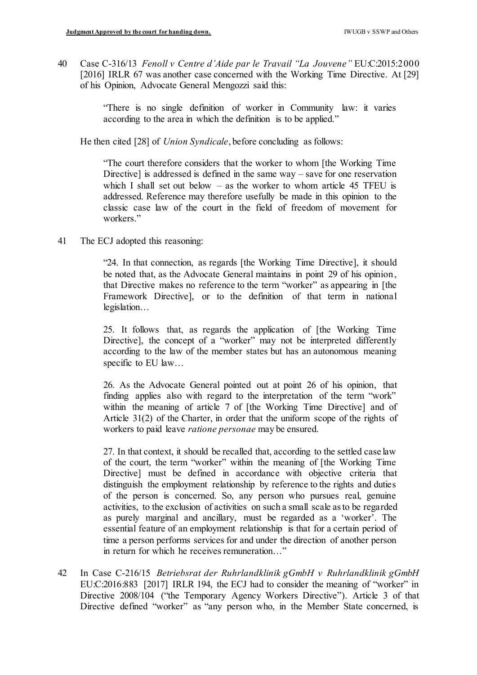40 Case C-316/13 *Fenoll v Centre d'Aide par le Travail "La Jouvene"* EU:C:2015:2000 [2016] IRLR 67 was another case concerned with the Working Time Directive. At [29] of his Opinion, Advocate General Mengozzi said this:

> "There is no single definition of worker in Community law: it varies according to the area in which the definition is to be applied."

He then cited [28] of *Union Syndicale*, before concluding as follows:

 "The court therefore considers that the worker to whom [the Working Time Directive] is addressed is defined in the same way – save for one reservation which I shall set out below  $-$  as the worker to whom article 45 TFEU is addressed. Reference may therefore usefully be made in this opinion to the classic case law of the court in the field of freedom of movement for workers."

41 The ECJ adopted this reasoning:

 "24. In that connection, as regards [the Working Time Directive], it should be noted that, as the Advocate General maintains in point 29 of his opinion, that Directive makes no reference to the term "worker" as appearing in [the Framework Directive], or to the definition of that term in national legislation…

 25. It follows that, as regards the application of [the Working Time Directive], the concept of a "worker" may not be interpreted differently according to the law of the member states but has an autonomous meaning specific to EU law…

 26. As the Advocate General pointed out at point 26 of his opinion, that finding applies also with regard to the interpretation of the term "work" within the meaning of article 7 of [the Working Time Directive] and of Article 31(2) of the Charter, in order that the uniform scope of the rights of workers to paid leave *ratione personae* may be ensured.

 27. In that context, it should be recalled that, according to the settled case law of the court, the term "worker" within the meaning of [the Working Time Directive] must be defined in accordance with objective criteria that distinguish the employment relationship by reference to the rights and duties of the person is concerned. So, any person who pursues real, genuine activities, to the exclusion of activities on such a small scale as to be regarded as purely marginal and ancillary, must be regarded as a 'worker'. The essential feature of an employment relationship is that for a certain period of time a person performs services for and under the direction of another person in return for which he receives remuneration…"

 42 In Case C-216/15 *Betriebsrat der Ruhrlandklinik gGmbH v Ruhrlandklinik gGmbH*  EU:C:2016:883 [2017] IRLR 194, the ECJ had to consider the meaning of "worker" in Directive 2008/104 ("the Temporary Agency Workers Directive"). Article 3 of that Directive defined "worker" as "any person who, in the Member State concerned, is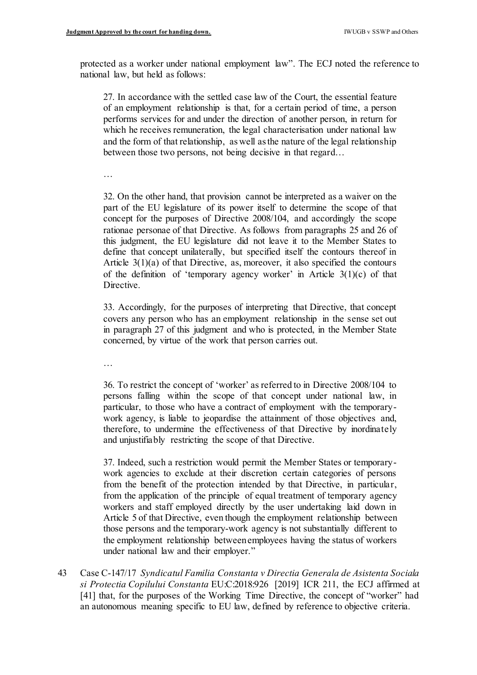protected as a worker under national employment law". The ECJ noted the reference to national law, but held as follows:

 27. In accordance with the settled case law of the Court, the essential feature of an employment relationship is that, for a certain period of time, a person performs services for and under the direction of another person, in return for which he receives remuneration, the legal characterisation under national law and the form of that relationship, as well as the nature of the legal relationship between those two persons, not being decisive in that regard…

…

 32. On the other hand, that provision cannot be interpreted as a waiver on the part of the EU legislature of its power itself to determine the scope of that concept for the purposes of Directive 2008/104, and accordingly the scope rationae personae of that Directive. As follows from paragraphs 25 and 26 of this judgment, the EU legislature did not leave it to the Member States to define that concept unilaterally, but specified itself the contours thereof in Article  $3(1)(a)$  of that Directive, as, moreover, it also specified the contours of the definition of 'temporary agency worker' in Article  $3(1)(c)$  of that Directive.

 33. Accordingly, for the purposes of interpreting that Directive, that concept covers any person who has an employment relationship in the sense set out in paragraph 27 of this judgment and who is protected, in the Member State concerned, by virtue of the work that person carries out.

…

 36. To restrict the concept of 'worker' as referred to in Directive 2008/104 to persons falling within the scope of that concept under national law, in particular, to those who have a contract of employment with the temporary- work agency, is liable to jeopardise the attainment of those objectives and, therefore, to undermine the effectiveness of that Directive by inordinately and unjustifiably restricting the scope of that Directive.

 37. Indeed, such a restriction would permit the Member States or temporary- work agencies to exclude at their discretion certain categories of persons from the benefit of the protection intended by that Directive, in particular, from the application of the principle of equal treatment of temporary agency workers and staff employed directly by the user undertaking laid down in Article 5 of that Directive, even though the employment relationship between those persons and the temporary-work agency is not substantially different to the employment relationship betweenemployees having the status of workers under national law and their employer."

 43 Case C-147/17 *Syndicatul Familia Constanta v Directia Generala de Asistenta Sociala si Protectia Copilului Constanta* EU:C:2018:926 [2019] ICR 211, the ECJ affirmed at [41] that, for the purposes of the Working Time Directive, the concept of "worker" had an autonomous meaning specific to EU law, defined by reference to objective criteria.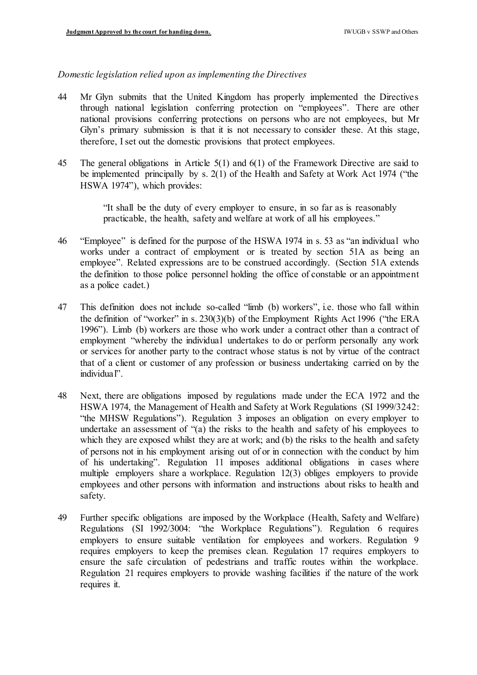## *Domestic legislation relied upon as implementing the Directives*

- 44 Mr Glyn submits that the United Kingdom has properly implemented the Directives through national legislation conferring protection on "employees". There are other national provisions conferring protections on persons who are not employees, but Mr Glyn's primary submission is that it is not necessary to consider these. At this stage, therefore, I set out the domestic provisions that protect employees.
- 45 The general obligations in Article 5(1) and 6(1) of the Framework Directive are said to be implemented principally by s. 2(1) of the Health and Safety at Work Act 1974 ("the HSWA 1974"), which provides:

 "It shall be the duty of every employer to ensure, in so far as is reasonably practicable, the health, safety and welfare at work of all his employees."

- 46 "Employee" is defined for the purpose of the HSWA 1974 in s. 53 as "an individual who works under a contract of employment or is treated by section 51A as being an employee". Related expressions are to be construed accordingly. (Section 51A extends the definition to those police personnel holding the office of constable or an appointment as a police cadet.)
- 47 This definition does not include so-called "limb (b) workers", i.e. those who fall within the definition of "worker" in s. 230(3)(b) of the Employment Rights Act 1996 ("the ERA 1996"). Limb (b) workers are those who work under a contract other than a contract of employment "whereby the individual undertakes to do or perform personally any work or services for another party to the contract whose status is not by virtue of the contract that of a client or customer of any profession or business undertaking carried on by the individual".
- 48 Next, there are obligations imposed by regulations made under the ECA 1972 and the HSWA 1974, the Management of Health and Safety at Work Regulations (SI 1999/3242: "the MHSW Regulations"). Regulation 3 imposes an obligation on every employer to undertake an assessment of "(a) the risks to the health and safety of his employees to which they are exposed whilst they are at work; and (b) the risks to the health and safety of persons not in his employment arising out of or in connection with the conduct by him of his undertaking". Regulation 11 imposes additional obligations in cases where multiple employers share a workplace. Regulation 12(3) obliges employers to provide employees and other persons with information and instructions about risks to health and safety.
- 49 Further specific obligations are imposed by the Workplace (Health, Safety and Welfare) Regulations (SI 1992/3004: "the Workplace Regulations"). Regulation 6 requires employers to ensure suitable ventilation for employees and workers. Regulation 9 requires employers to keep the premises clean. Regulation 17 requires employers to ensure the safe circulation of pedestrians and traffic routes within the workplace. Regulation 21 requires employers to provide washing facilities if the nature of the work requires it.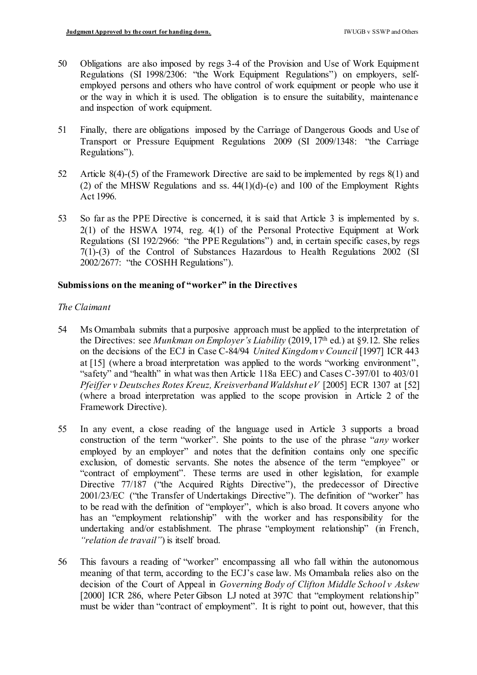- 50 Obligations are also imposed by regs 3-4 of the Provision and Use of Work Equipment Regulations (SI 1998/2306: "the Work Equipment Regulations") on employers, self- employed persons and others who have control of work equipment or people who use it or the way in which it is used. The obligation is to ensure the suitability, maintenance and inspection of work equipment.
- 51 Finally, there are obligations imposed by the Carriage of Dangerous Goods and Use of Transport or Pressure Equipment Regulations 2009 (SI 2009/1348: "the Carriage Regulations").
- 52 Article 8(4)-(5) of the Framework Directive are said to be implemented by regs 8(1) and (2) of the MHSW Regulations and ss.  $44(1)(d)$ -(e) and 100 of the Employment Rights Act 1996.
- 53 So far as the PPE Directive is concerned, it is said that Article 3 is implemented by s. 2(1) of the HSWA 1974, reg. 4(1) of the Personal Protective Equipment at Work Regulations (SI 192/2966: "the PPE Regulations") and, in certain specific cases, by regs 7(1)-(3) of the Control of Substances Hazardous to Health Regulations 2002 (SI 2002/2677: "the COSHH Regulations").

## **Submissions on the meaning of "worker" in the Directives**

#### *The Claimant*

- 54 Ms Omambala submits that a purposive approach must be applied to the interpretation of the Directives: see *Munkman on Employer's Liability* (2019, 17th ed.) at §9.12. She relies on the decisions of the ECJ in Case C-84/94 *United Kingdom v Council* [1997] ICR 443 at [15] (where a broad interpretation was applied to the words "working environment", "safety" and "health" in what was then Article 118a EEC) and Cases C-397/01 to 403/01  *Pfeiffer v Deutsches Rotes Kreuz, Kreisverband Waldshut eV* [2005] ECR 1307 at [52] (where a broad interpretation was applied to the scope provision in Article 2 of the Framework Directive).
- 55 In any event, a close reading of the language used in Article 3 supports a broad construction of the term "worker". She points to the use of the phrase "*any* worker employed by an employer" and notes that the definition contains only one specific exclusion, of domestic servants. She notes the absence of the term "employee" or "contract of employment". These terms are used in other legislation, for example Directive 77/187 ("the Acquired Rights Directive"), the predecessor of Directive 2001/23/EC ("the Transfer of Undertakings Directive"). The definition of "worker" has to be read with the definition of "employer", which is also broad. It covers anyone who has an "employment relationship" with the worker and has responsibility for the undertaking and/or establishment. The phrase "employment relationship" (in French,  *"relation de travail"*) is itself broad.
- 56 This favours a reading of "worker" encompassing all who fall within the autonomous meaning of that term, according to the ECJ's case law. Ms Omambala relies also on the decision of the Court of Appeal in *Governing Body of Clifton Middle School v Askew*  [2000] ICR 286, where Peter Gibson LJ noted at 397C that "employment relationship" must be wider than "contract of employment". It is right to point out, however, that this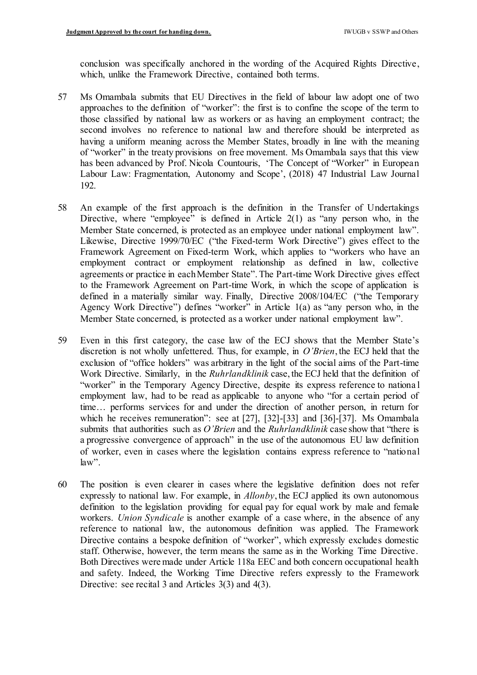conclusion was specifically anchored in the wording of the Acquired Rights Directive, which, unlike the Framework Directive, contained both terms.

- 57 Ms Omambala submits that EU Directives in the field of labour law adopt one of two approaches to the definition of "worker": the first is to confine the scope of the term to those classified by national law as workers or as having an employment contract; the second involves no reference to national law and therefore should be interpreted as having a uniform meaning across the Member States, broadly in line with the meaning of "worker" in the treaty provisions on free movement. Ms Omambala says that this view has been advanced by Prof. Nicola Countouris, 'The Concept of "Worker" in European Labour Law: Fragmentation, Autonomy and Scope', (2018) 47 Industrial Law Journal 192.
- 58 An example of the first approach is the definition in the Transfer of Undertakings Directive, where "employee" is defined in Article  $2(1)$  as "any person who, in the Member State concerned, is protected as an employee under national employment law". Likewise, Directive 1999/70/EC ("the Fixed-term Work Directive") gives effect to the Framework Agreement on Fixed-term Work, which applies to "workers who have an employment contract or employment relationship as defined in law, collective agreements or practice in eachMember State". The Part-time Work Directive gives effect to the Framework Agreement on Part-time Work, in which the scope of application is defined in a materially similar way. Finally, Directive 2008/104/EC ("the Temporary Agency Work Directive") defines "worker" in Article 1(a) as "any person who, in the Member State concerned, is protected as a worker under national employment law".
- 59 Even in this first category, the case law of the ECJ shows that the Member State's discretion is not wholly unfettered. Thus, for example, in *O'Brien*, the ECJ held that the exclusion of "office holders" was arbitrary in the light of the social aims of the Part-time Work Directive. Similarly, in the *Ruhrlandklinik* case, the ECJ held that the definition of "worker" in the Temporary Agency Directive, despite its express reference to national employment law, had to be read as applicable to anyone who "for a certain period of time… performs services for and under the direction of another person, in return for which he receives remuneration": see at [27], [32]-[33] and [36]-[37]. Ms Omambala submits that authorities such as *O'Brien* and the *Ruhrlandklinik* case show that "there is a progressive convergence of approach" in the use of the autonomous EU law definition of worker, even in cases where the legislation contains express reference to "national  $law$ ".
- 60 The position is even clearer in cases where the legislative definition does not refer expressly to national law. For example, in *Allonby*, the ECJ applied its own autonomous definition to the legislation providing for equal pay for equal work by male and female workers. *Union Syndicale* is another example of a case where, in the absence of any reference to national law, the autonomous definition was applied. The Framework Directive contains a bespoke definition of "worker", which expressly excludes domestic staff. Otherwise, however, the term means the same as in the Working Time Directive. Both Directives were made under Article 118a EEC and both concern occupational health and safety. Indeed, the Working Time Directive refers expressly to the Framework Directive: see recital 3 and Articles 3(3) and 4(3).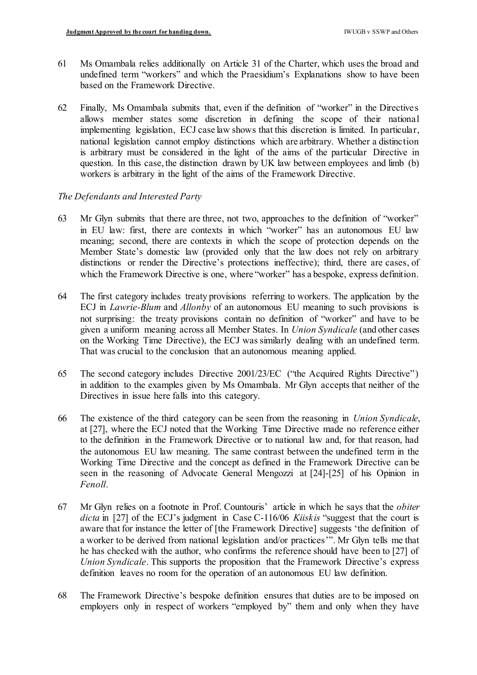- 61 Ms Omambala relies additionally on Article 31 of the Charter, which uses the broad and undefined term "workers" and which the Praesidium's Explanations show to have been based on the Framework Directive.
- 62 Finally, Ms Omambala submits that, even if the definition of "worker" in the Directives allows member states some discretion in defining the scope of their national implementing legislation, ECJ case law shows that this discretion is limited. In particular, national legislation cannot employ distinctions which are arbitrary. Whether a distinction is arbitrary must be considered in the light of the aims of the particular Directive in question. In this case, the distinction drawn by UK law between employees and limb (b) workers is arbitrary in the light of the aims of the Framework Directive.

# *The Defendants and Interested Party*

- 63 Mr Glyn submits that there are three, not two, approaches to the definition of "worker" in EU law: first, there are contexts in which "worker" has an autonomous EU law meaning; second, there are contexts in which the scope of protection depends on the Member State's domestic law (provided only that the law does not rely on arbitrary distinctions or render the Directive's protections ineffective); third, there are cases, of which the Framework Directive is one, where "worker" has a bespoke, express definition.
- 64 The first category includes treaty provisions referring to workers. The application by the ECJ in *Lawrie-Blum* and *Allonby* of an autonomous EU meaning to such provisions is not surprising: the treaty provisions contain no definition of "worker" and have to be given a uniform meaning across all Member States. In *Union Syndicale* (and other cases on the Working Time Directive), the ECJ was similarly dealing with an undefined term. That was crucial to the conclusion that an autonomous meaning applied.
- 65 The second category includes Directive 2001/23/EC ("the Acquired Rights Directive") in addition to the examples given by Ms Omambala. Mr Glyn accepts that neither of the Directives in issue here falls into this category.
- 66 The existence of the third category can be seen from the reasoning in *Union Syndicale*, at [27], where the ECJ noted that the Working Time Directive made no reference either to the definition in the Framework Directive or to national law and, for that reason, had the autonomous EU law meaning. The same contrast between the undefined term in the Working Time Directive and the concept as defined in the Framework Directive can be seen in the reasoning of Advocate General Mengozzi at [24]-[25] of his Opinion in *Fenoll*.
- 67 Mr Glyn relies on a footnote in Prof. Countouris' article in which he says that the *obiter dicta* in [27] of the ECJ's judgment in Case C-116/06 *Kiiskis* "suggest that the court is aware that for instance the letter of [the Framework Directive] suggests 'the definition of a worker to be derived from national legislation and/or practices'". Mr Glyn tells me that he has checked with the author, who confirms the reference should have been to [27] of *Union Syndicale*. This supports the proposition that the Framework Directive's express definition leaves no room for the operation of an autonomous EU law definition.
- 68 The Framework Directive's bespoke definition ensures that duties are to be imposed on employers only in respect of workers "employed by" them and only when they have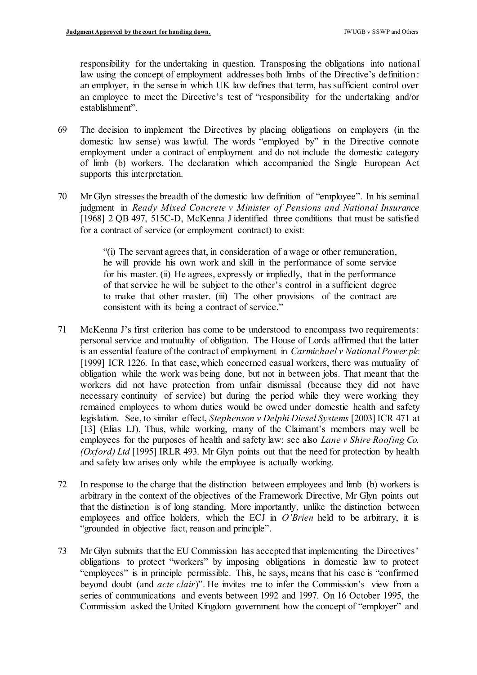responsibility for the undertaking in question. Transposing the obligations into national law using the concept of employment addresses both limbs of the Directive's definition: an employer, in the sense in which UK law defines that term, has sufficient control over an employee to meet the Directive's test of "responsibility for the undertaking and/or establishment".

- 69 The decision to implement the Directives by placing obligations on employers (in the domestic law sense) was lawful. The words "employed by" in the Directive connote employment under a contract of employment and do not include the domestic category of limb (b) workers. The declaration which accompanied the Single European Act supports this interpretation.
- 70 Mr Glyn stresses the breadth of the domestic law definition of "employee". In his seminal judgment in *Ready Mixed Concrete v Minister of Pensions and National Insurance*  [1968] 2 QB 497, 515C-D, McKenna J identified three conditions that must be satisfied for a contract of service (or employment contract) to exist:

 "(i) The servant agrees that, in consideration of a wage or other remuneration, he will provide his own work and skill in the performance of some service for his master. (ii) He agrees, expressly or impliedly, that in the performance of that service he will be subject to the other's control in a sufficient degree to make that other master. (iii) The other provisions of the contract are consistent with its being a contract of service."

- 71 McKenna J's first criterion has come to be understood to encompass two requirements: personal service and mutuality of obligation. The House of Lords affirmed that the latter is an essential feature of the contract of employment in *Carmichael v National Power plc*  [1999] ICR 1226. In that case, which concerned casual workers, there was mutuality of obligation while the work was being done, but not in between jobs. That meant that the workers did not have protection from unfair dismissal (because they did not have necessary continuity of service) but during the period while they were working they remained employees to whom duties would be owed under domestic health and safety legislation. See, to similar effect, *Stephenson v Delphi Diesel Systems* [2003] ICR 471 at [13] (Elias LJ). Thus, while working, many of the Claimant's members may well be employees for the purposes of health and safety law: see also *Lane v Shire Roofing Co. (Oxford) Ltd* [1995] IRLR 493. Mr Glyn points out that the need for protection by health and safety law arises only while the employee is actually working.
- 72 In response to the charge that the distinction between employees and limb (b) workers is arbitrary in the context of the objectives of the Framework Directive, Mr Glyn points out that the distinction is of long standing. More importantly, unlike the distinction between employees and office holders, which the ECJ in *O'Brien* held to be arbitrary, it is "grounded in objective fact, reason and principle".
- 73 Mr Glyn submits that the EU Commission has accepted that implementing the Directives' obligations to protect "workers" by imposing obligations in domestic law to protect "employees" is in principle permissible. This, he says, means that his case is "confirmed beyond doubt (and *acte clair*)". He invites me to infer the Commission's view from a series of communications and events between 1992 and 1997. On 16 October 1995, the Commission asked the United Kingdom government how the concept of "employer" and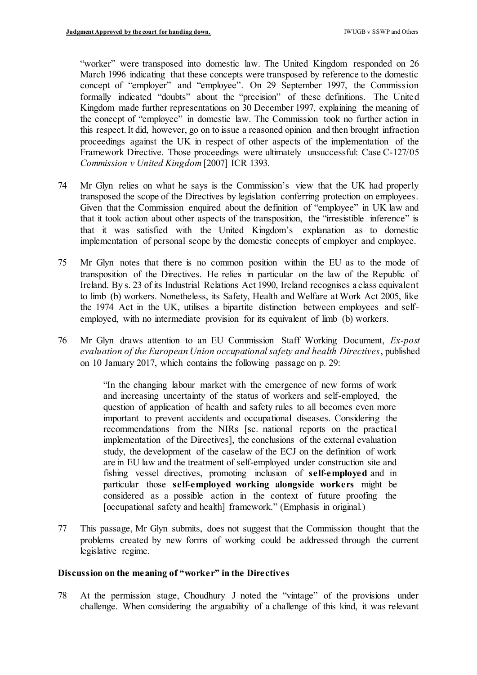"worker" were transposed into domestic law. The United Kingdom responded on 26 March 1996 indicating that these concepts were transposed by reference to the domestic concept of "employer" and "employee". On 29 September 1997, the Commission formally indicated "doubts" about the "precision" of these definitions. The United Kingdom made further representations on 30 December 1997, explaining the meaning of the concept of "employee" in domestic law. The Commission took no further action in this respect. It did, however, go on to issue a reasoned opinion and then brought infraction proceedings against the UK in respect of other aspects of the implementation of the Framework Directive. Those proceedings were ultimately unsuccessful: Case C-127/05  *Commission v United Kingdom* [2007] ICR 1393.

- 74 Mr Glyn relies on what he says is the Commission's view that the UK had properly transposed the scope of the Directives by legislation conferring protection on employees. Given that the Commission enquired about the definition of "employee" in UK law and that it took action about other aspects of the transposition, the "irresistible inference" is that it was satisfied with the United Kingdom's explanation as to domestic implementation of personal scope by the domestic concepts of employer and employee.
- 75 Mr Glyn notes that there is no common position within the EU as to the mode of transposition of the Directives. He relies in particular on the law of the Republic of Ireland. By s. 23 of its Industrial Relations Act 1990, Ireland recognises a class equivalent to limb (b) workers. Nonetheless, its Safety, Health and Welfare at Work Act 2005, like the 1974 Act in the UK, utilises a bipartite distinction between employees and self-employed, with no intermediate provision for its equivalent of limb (b) workers.
- 76 Mr Glyn draws attention to an EU Commission Staff Working Document, *Ex-post evaluation of the European Union occupational safety and health Directives*, published on 10 January 2017, which contains the following passage on p. 29:

 "In the changing labour market with the emergence of new forms of work and increasing uncertainty of the status of workers and self-employed, the question of application of health and safety rules to all becomes even more important to prevent accidents and occupational diseases. Considering the recommendations from the NIRs [sc. national reports on the practical implementation of the Directives], the conclusions of the external evaluation study, the development of the caselaw of the ECJ on the definition of work are in EU law and the treatment of self-employed under construction site and fishing vessel directives, promoting inclusion of **self-employed** and in  particular those **self-employed working alongside workers** might be considered as a possible action in the context of future proofing the [occupational safety and health] framework." (Emphasis in original.)

 77 This passage, Mr Glyn submits, does not suggest that the Commission thought that the problems created by new forms of working could be addressed through the current legislative regime.

## **Discussion on the meaning of "worker" in the Directives**

 78 At the permission stage, Choudhury J noted the "vintage" of the provisions under challenge. When considering the arguability of a challenge of this kind, it was relevant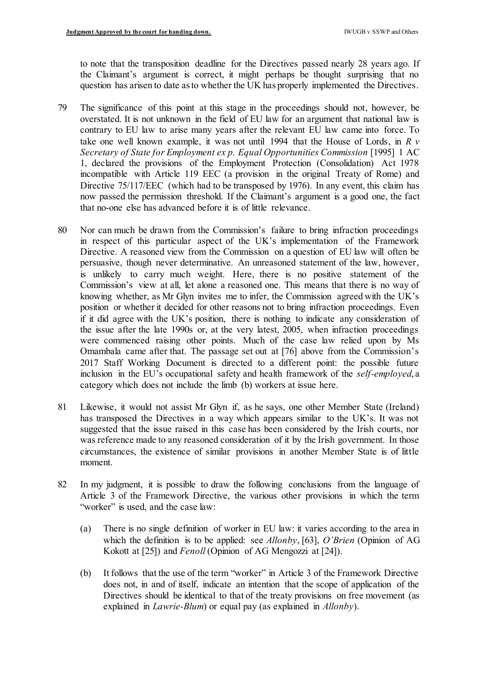to note that the transposition deadline for the Directives passed nearly 28 years ago. If the Claimant's argument is correct, it might perhaps be thought surprising that no question has arisen to date as to whether the UK has properly implemented the Directives.

- 79 The significance of this point at this stage in the proceedings should not, however, be overstated. It is not unknown in the field of EU law for an argument that national law is contrary to EU law to arise many years after the relevant EU law came into force. To take one well known example, it was not until 1994 that the House of Lords, in *R v*  Secretary of State for Employment ex p. Equal Opportunities Commission [1995] 1 AC 1, declared the provisions of the Employment Protection (Consolidation) Act 1978 incompatible with Article 119 EEC (a provision in the original Treaty of Rome) and Directive 75/117/EEC (which had to be transposed by 1976). In any event, this claim has now passed the permission threshold. If the Claimant's argument is a good one, the fact that no-one else has advanced before it is of little relevance.
- 80 Nor can much be drawn from the Commission's failure to bring infraction proceedings in respect of this particular aspect of the UK's implementation of the Framework Directive. A reasoned view from the Commission on a question of EU law will often be persuasive, though never determinative. An unreasoned statement of the law, however, is unlikely to carry much weight. Here, there is no positive statement of the Commission's view at all, let alone a reasoned one. This means that there is no way of knowing whether, as Mr Glyn invites me to infer, the Commission agreed with the UK's position or whether it decided for other reasons not to bring infraction proceedings. Even if it did agree with the UK's position, there is nothing to indicate any consideration of the issue after the late 1990s or, at the very latest, 2005, when infraction proceedings were commenced raising other points. Much of the case law relied upon by Ms Omambala came after that. The passage set out at [76] above from the Commission's 2017 Staff Working Document is directed to a different point: the possible future inclusion in the EU's occupational safety and health framework of the *self-employed*, a category which does not include the limb (b) workers at issue here.
- 81 Likewise, it would not assist Mr Glyn if, as he says, one other Member State (Ireland) has transposed the Directives in a way which appears similar to the UK's. It was not suggested that the issue raised in this case has been considered by the Irish courts, nor was reference made to any reasoned consideration of it by the Irish government. In those circumstances, the existence of similar provisions in another Member State is of little moment.
- 82 In my judgment, it is possible to draw the following conclusions from the language of Article 3 of the Framework Directive, the various other provisions in which the term "worker" is used, and the case law:
	- (a) There is no single definition of worker in EU law: it varies according to the area in which the definition is to be applied: see *Allonby*, [63], *O'Brien* (Opinion of AG Kokott at [25]) and *Fenoll* (Opinion of AG Mengozzi at [24]).
	- (b) It follows that the use of the term "worker" in Article 3 of the Framework Directive does not, in and of itself, indicate an intention that the scope of application of the Directives should be identical to that of the treaty provisions on free movement (as explained in *Lawrie-Blum*) or equal pay (as explained in *Allonby*).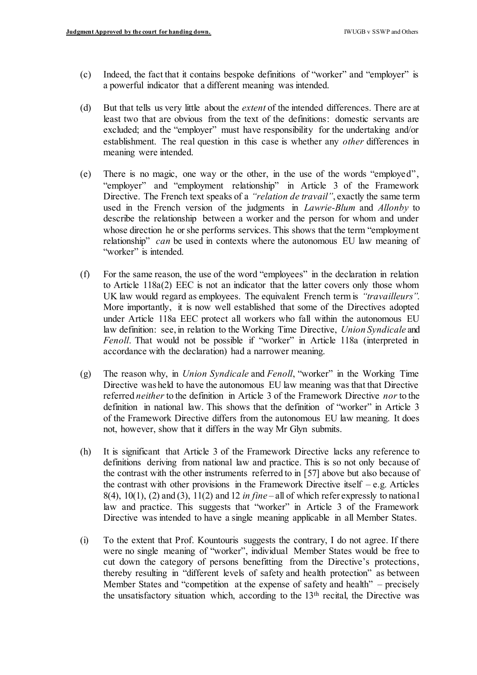- (c) Indeed, the fact that it contains bespoke definitions of "worker" and "employer" is a powerful indicator that a different meaning was intended.
- (d) But that tells us very little about the *extent* of the intended differences. There are at least two that are obvious from the text of the definitions: domestic servants are excluded; and the "employer" must have responsibility for the undertaking and/or establishment. The real question in this case is whether any *other* differences in meaning were intended.
- (e) There is no magic, one way or the other, in the use of the words "employed", "employer" and "employment relationship" in Article 3 of the Framework Directive. The French text speaks of a *"relation de travail"*, exactly the same term used in the French version of the judgments in *Lawrie-Blum* and *Allonby* to describe the relationship between a worker and the person for whom and under whose direction he or she performs services. This shows that the term "employment relationship" *can* be used in contexts where the autonomous EU law meaning of "worker" is intended.
- (f) For the same reason, the use of the word "employees" in the declaration in relation to Article 118a(2) EEC is not an indicator that the latter covers only those whom UK law would regard as employees. The equivalent French term is *"travailleurs"*. More importantly, it is now well established that some of the Directives adopted under Article 118a EEC protect all workers who fall within the autonomous EU law definition: see, in relation to the Working Time Directive, *Union Syndicale* and *Fenoll*. That would not be possible if "worker" in Article 118a (interpreted in accordance with the declaration) had a narrower meaning.
- (g) The reason why, in *Union Syndicale* and *Fenoll*, "worker" in the Working Time Directive was held to have the autonomous EU law meaning was that that Directive referred *neither* to the definition in Article 3 of the Framework Directive *nor* to the definition in national law. This shows that the definition of "worker" in Article 3 of the Framework Directive differs from the autonomous EU law meaning. It does not, however, show that it differs in the way Mr Glyn submits.
- (h) It is significant that Article 3 of the Framework Directive lacks any reference to definitions deriving from national law and practice. This is so not only because of the contrast with the other instruments referred to in [57] above but also because of the contrast with other provisions in the Framework Directive itself – e.g. Articles 8(4), 10(1), (2) and (3), 11(2) and 12 *in fine* – all of which refer expressly to national law and practice. This suggests that "worker" in Article 3 of the Framework Directive was intended to have a single meaning applicable in all Member States.
- (i) To the extent that Prof. Kountouris suggests the contrary, I do not agree. If there were no single meaning of "worker", individual Member States would be free to cut down the category of persons benefitting from the Directive's protections, thereby resulting in "different levels of safety and health protection" as between Member States and "competition at the expense of safety and health" – precisely the unsatisfactory situation which, according to the 13<sup>th</sup> recital, the Directive was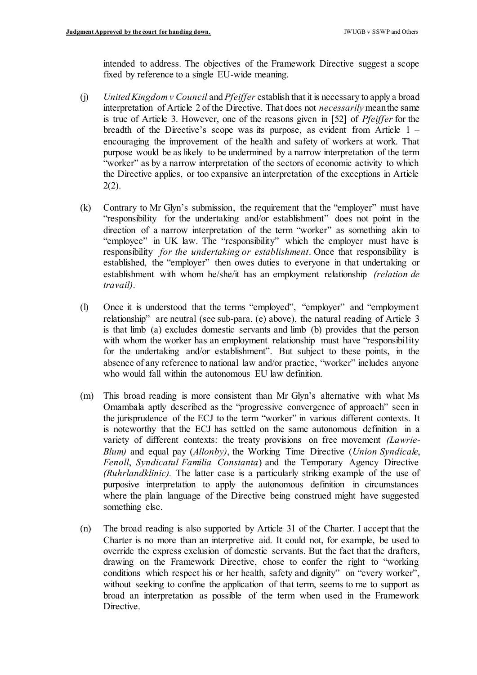intended to address. The objectives of the Framework Directive suggest a scope fixed by reference to a single EU-wide meaning.

- (j) *United Kingdom v Council* and *Pfeiffer* establish that it is necessary to apply a broad interpretation of Article 2 of the Directive. That does not *necessarily* meanthe same is true of Article 3. However, one of the reasons given in [52] of *Pfeiffer* for the breadth of the Directive's scope was its purpose, as evident from Article 1 – encouraging the improvement of the health and safety of workers at work. That purpose would be as likely to be undermined by a narrow interpretation of the term "worker" as by a narrow interpretation of the sectors of economic activity to which the Directive applies, or too expansive an interpretation of the exceptions in Article  $2(2)$ .
- (k) Contrary to Mr Glyn's submission, the requirement that the "employer" must have "responsibility for the undertaking and/or establishment" does not point in the direction of a narrow interpretation of the term "worker" as something akin to "employee" in UK law. The "responsibility" which the employer must have is  responsibility *for the undertaking or establishment*. Once that responsibility is established, the "employer" then owes duties to everyone in that undertaking or establishment with whom he/she/it has an employment relationship *(relation de travail)*.
- (l) Once it is understood that the terms "employed", "employer" and "employment relationship" are neutral (see sub-para. (e) above), the natural reading of Article 3 is that limb (a) excludes domestic servants and limb (b) provides that the person with whom the worker has an employment relationship must have "responsibility for the undertaking and/or establishment". But subject to these points, in the absence of any reference to national law and/or practice, "worker" includes anyone who would fall within the autonomous EU law definition.
- (m) This broad reading is more consistent than Mr Glyn's alternative with what Ms Omambala aptly described as the "progressive convergence of approach" seen in the jurisprudence of the ECJ to the term "worker" in various different contexts. It is noteworthy that the ECJ has settled on the same autonomous definition in a variety of different contexts: the treaty provisions on free movement *(Lawrie- Blum)* and equal pay (*Allonby)*, the Working Time Directive (*Union Syndicale*,  *Fenoll*, *Syndicatul Familia Constanta*) and the Temporary Agency Directive *(Ruhrlandklinic).* The latter case is a particularly striking example of the use of purposive interpretation to apply the autonomous definition in circumstances where the plain language of the Directive being construed might have suggested something else.
- (n) The broad reading is also supported by Article 31 of the Charter. I accept that the Charter is no more than an interpretive aid. It could not, for example, be used to override the express exclusion of domestic servants. But the fact that the drafters, drawing on the Framework Directive, chose to confer the right to "working conditions which respect his or her health, safety and dignity" on "every worker", without seeking to confine the application of that term, seems to me to support as broad an interpretation as possible of the term when used in the Framework Directive.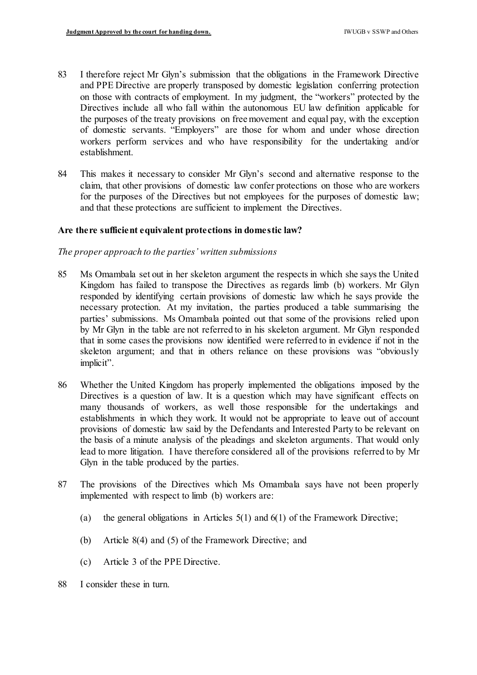- 83 I therefore reject Mr Glyn's submission that the obligations in the Framework Directive and PPE Directive are properly transposed by domestic legislation conferring protection on those with contracts of employment. In my judgment, the "workers" protected by the Directives include all who fall within the autonomous EU law definition applicable for the purposes of the treaty provisions on free movement and equal pay, with the exception of domestic servants. "Employers" are those for whom and under whose direction workers perform services and who have responsibility for the undertaking and/or establishment.
- 84 This makes it necessary to consider Mr Glyn's second and alternative response to the claim, that other provisions of domestic law confer protections on those who are workers for the purposes of the Directives but not employees for the purposes of domestic law; and that these protections are sufficient to implement the Directives.

## **Are there sufficient equivalent protections in domestic law?**

## *The proper approach to the parties' written submissions*

- 85 Ms Omambala set out in her skeleton argument the respects in which she says the United Kingdom has failed to transpose the Directives as regards limb (b) workers. Mr Glyn responded by identifying certain provisions of domestic law which he says provide the necessary protection. At my invitation, the parties produced a table summarising the parties' submissions. Ms Omambala pointed out that some of the provisions relied upon by Mr Glyn in the table are not referred to in his skeleton argument. Mr Glyn responded that in some cases the provisions now identified were referred to in evidence if not in the skeleton argument; and that in others reliance on these provisions was "obviously implicit".
- 86 Whether the United Kingdom has properly implemented the obligations imposed by the Directives is a question of law. It is a question which may have significant effects on many thousands of workers, as well those responsible for the undertakings and establishments in which they work. It would not be appropriate to leave out of account provisions of domestic law said by the Defendants and Interested Party to be relevant on the basis of a minute analysis of the pleadings and skeleton arguments. That would only lead to more litigation. I have therefore considered all of the provisions referred to by Mr Glyn in the table produced by the parties.
- 87 The provisions of the Directives which Ms Omambala says have not been properly implemented with respect to limb (b) workers are:
	- (a) the general obligations in Articles  $5(1)$  and  $6(1)$  of the Framework Directive;
	- (b) Article 8(4) and (5) of the Framework Directive; and
	- (c) Article 3 of the PPE Directive.
- 88 I consider these in turn.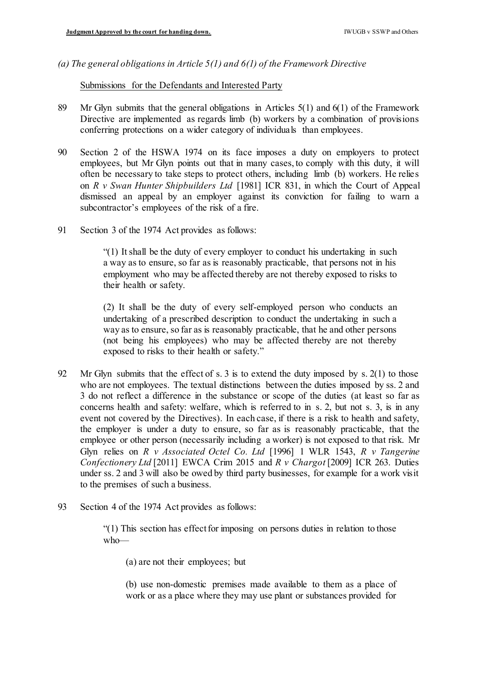*(a) The general obligations in Article 5(1) and 6(1) of the Framework Directive* 

Submissions for the Defendants and Interested Party

- 89 Mr Glyn submits that the general obligations in Articles 5(1) and 6(1) of the Framework Directive are implemented as regards limb (b) workers by a combination of provisions conferring protections on a wider category of individuals than employees.
- 90 Section 2 of the HSWA 1974 on its face imposes a duty on employers to protect employees, but Mr Glyn points out that in many cases, to comply with this duty, it will often be necessary to take steps to protect others, including limb (b) workers. He relies  on *R v Swan Hunter Shipbuilders Ltd* [1981] ICR 831, in which the Court of Appeal dismissed an appeal by an employer against its conviction for failing to warn a subcontractor's employees of the risk of a fire.
- 91 Section 3 of the 1974 Act provides as follows:

 "(1) It shall be the duty of every employer to conduct his undertaking in such a way as to ensure, so far as is reasonably practicable, that persons not in his employment who may be affected thereby are not thereby exposed to risks to their health or safety.

 (2) It shall be the duty of every self-employed person who conducts an undertaking of a prescribed description to conduct the undertaking in such a way as to ensure, so far as is reasonably practicable, that he and other persons (not being his employees) who may be affected thereby are not thereby exposed to risks to their health or safety."

- 92 Mr Glyn submits that the effect of s. 3 is to extend the duty imposed by s. 2(1) to those who are not employees. The textual distinctions between the duties imposed by ss. 2 and 3 do not reflect a difference in the substance or scope of the duties (at least so far as concerns health and safety: welfare, which is referred to in s. 2, but not s. 3, is in any event not covered by the Directives). In each case, if there is a risk to health and safety, the employer is under a duty to ensure, so far as is reasonably practicable, that the employee or other person (necessarily including a worker) is not exposed to that risk. Mr Glyn relies on *R v Associated Octel Co. Ltd* [1996] 1 WLR 1543, *R v Tangerine Confectionery Ltd* [2011] EWCA Crim 2015 and *R v Chargot* [2009] ICR 263. Duties under ss. 2 and 3 will also be owed by third party businesses, for example for a work visit to the premises of such a business.
- 93 Section 4 of the 1974 Act provides as follows:

 "(1) This section has effect for imposing on persons duties in relation to those who—

(a) are not their employees; but

 (b) use non-domestic premises made available to them as a place of work or as a place where they may use plant or substances provided for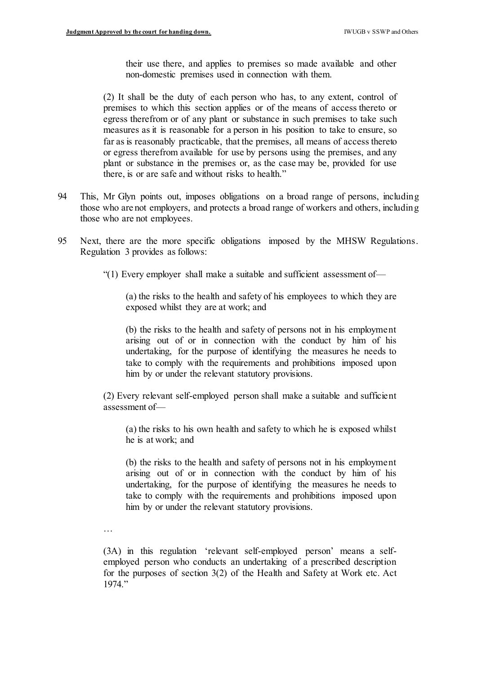their use there, and applies to premises so made available and other non-domestic premises used in connection with them.

 (2) It shall be the duty of each person who has, to any extent, control of premises to which this section applies or of the means of access thereto or egress therefrom or of any plant or substance in such premises to take such measures as it is reasonable for a person in his position to take to ensure, so far as is reasonably practicable, that the premises, all means of access thereto or egress therefrom available for use by persons using the premises, and any plant or substance in the premises or, as the case may be, provided for use there, is or are safe and without risks to health."

- 94 This, Mr Glyn points out, imposes obligations on a broad range of persons, including those who are not employers, and protects a broad range of workers and others, including those who are not employees.
- 95 Next, there are the more specific obligations imposed by the MHSW Regulations. Regulation 3 provides as follows:
	- "(1) Every employer shall make a suitable and sufficient assessment of—

 (a) the risks to the health and safety of his employees to which they are exposed whilst they are at work; and

 (b) the risks to the health and safety of persons not in his employment arising out of or in connection with the conduct by him of his undertaking, for the purpose of identifying the measures he needs to take to comply with the requirements and prohibitions imposed upon him by or under the relevant statutory provisions.

 (2) Every relevant self-employed person shall make a suitable and sufficient assessment of—

 (a) the risks to his own health and safety to which he is exposed whilst he is at work; and

 (b) the risks to the health and safety of persons not in his employment arising out of or in connection with the conduct by him of his undertaking, for the purpose of identifying the measures he needs to take to comply with the requirements and prohibitions imposed upon him by or under the relevant statutory provisions.

…

 (3A) in this regulation 'relevant self-employed person' means a self- employed person who conducts an undertaking of a prescribed description for the purposes of section 3(2) of the Health and Safety at Work etc. Act 1974."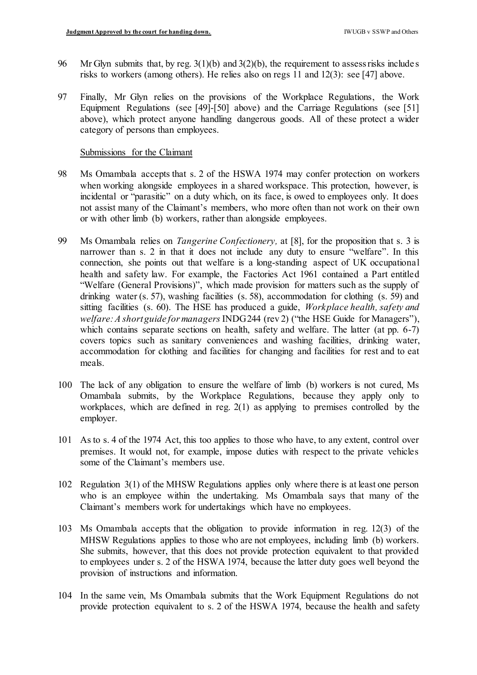- 96 Mr Glyn submits that, by reg.  $3(1)(b)$  and  $3(2)(b)$ , the requirement to assess risks includes risks to workers (among others). He relies also on regs 11 and 12(3): see [47] above.
- 97 Finally, Mr Glyn relies on the provisions of the Workplace Regulations, the Work Equipment Regulations (see [49]-[50] above) and the Carriage Regulations (see [51] above), which protect anyone handling dangerous goods. All of these protect a wider category of persons than employees.

#### Submissions for the Claimant

- 98 Ms Omambala accepts that s. 2 of the HSWA 1974 may confer protection on workers when working alongside employees in a shared workspace. This protection, however, is incidental or "parasitic" on a duty which, on its face, is owed to employees only. It does not assist many of the Claimant's members, who more often than not work on their own or with other limb (b) workers, rather than alongside employees.
- 99 Ms Omambala relies on *Tangerine Confectionery,* at [8], for the proposition that s. 3 is narrower than s. 2 in that it does not include any duty to ensure "welfare". In this connection, she points out that welfare is a long-standing aspect of UK occupational health and safety law. For example, the Factories Act 1961 contained a Part entitled "Welfare (General Provisions)", which made provision for matters such as the supply of drinking water (s. 57), washing facilities (s. 58), accommodation for clothing (s. 59) and sitting facilities (s. 60). The HSE has produced a guide, *Workplace health, safety and welfare: A shortguide for managers* INDG244 (rev 2) ("the HSE Guide for Managers"), which contains separate sections on health, safety and welfare. The latter (at pp. 6-7) covers topics such as sanitary conveniences and washing facilities, drinking water, accommodation for clothing and facilities for changing and facilities for rest and to eat meals.
- 100 The lack of any obligation to ensure the welfare of limb (b) workers is not cured, Ms Omambala submits, by the Workplace Regulations, because they apply only to workplaces, which are defined in reg. 2(1) as applying to premises controlled by the employer.
- 101 As to s. 4 of the 1974 Act, this too applies to those who have, to any extent, control over premises. It would not, for example, impose duties with respect to the private vehicles some of the Claimant's members use.
- 102 Regulation 3(1) of the MHSW Regulations applies only where there is at least one person who is an employee within the undertaking. Ms Omambala says that many of the Claimant's members work for undertakings which have no employees.
- 103 Ms Omambala accepts that the obligation to provide information in reg. 12(3) of the MHSW Regulations applies to those who are not employees, including limb (b) workers. She submits, however, that this does not provide protection equivalent to that provided to employees under s. 2 of the HSWA 1974, because the latter duty goes well beyond the provision of instructions and information.
- 104 In the same vein, Ms Omambala submits that the Work Equipment Regulations do not provide protection equivalent to s. 2 of the HSWA 1974, because the health and safety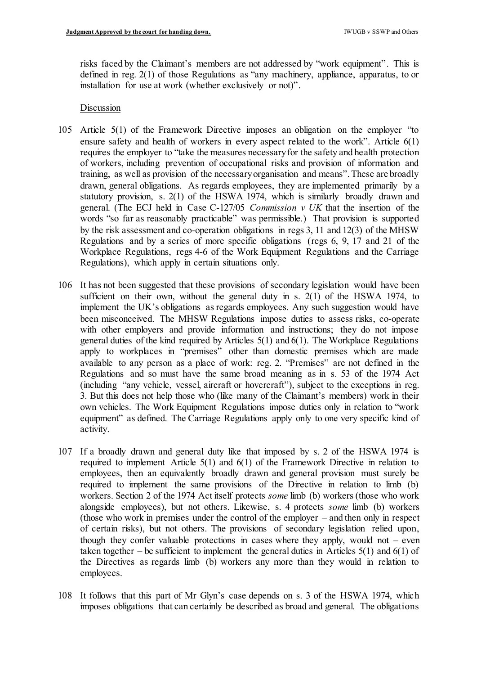risks faced by the Claimant's members are not addressed by "work equipment". This is defined in reg. 2(1) of those Regulations as "any machinery, appliance, apparatus, to or installation for use at work (whether exclusively or not)".

### Discussion

- 105 Article 5(1) of the Framework Directive imposes an obligation on the employer "to ensure safety and health of workers in every aspect related to the work". Article  $6(1)$  requires the employer to "take the measures necessaryfor the safety and health protection of workers, including prevention of occupational risks and provision of information and training, as well as provision of the necessaryorganisation and means". These are broadly drawn, general obligations. As regards employees, they are implemented primarily by a statutory provision, s. 2(1) of the HSWA 1974, which is similarly broadly drawn and general. (The ECJ held in Case C-127/05 *Commission v UK* that the insertion of the words "so far as reasonably practicable" was permissible.) That provision is supported by the risk assessment and co-operation obligations in regs 3, 11 and 12(3) of the MHSW Regulations and by a series of more specific obligations (regs 6, 9, 17 and 21 of the Workplace Regulations, regs 4-6 of the Work Equipment Regulations and the Carriage Regulations), which apply in certain situations only.
- 106 It has not been suggested that these provisions of secondary legislation would have been sufficient on their own, without the general duty in s. 2(1) of the HSWA 1974, to implement the UK's obligations as regards employees. Any such suggestion would have been misconceived. The MHSW Regulations impose duties to assess risks, co-operate with other employers and provide information and instructions; they do not impose general duties of the kind required by Articles  $5(1)$  and  $6(1)$ . The Workplace Regulations apply to workplaces in "premises" other than domestic premises which are made available to any person as a place of work: reg. 2. "Premises" are not defined in the Regulations and so must have the same broad meaning as in s. 53 of the 1974 Act (including "any vehicle, vessel, aircraft or hovercraft"), subject to the exceptions in reg. 3. But this does not help those who (like many of the Claimant's members) work in their own vehicles. The Work Equipment Regulations impose duties only in relation to "work equipment" as defined. The Carriage Regulations apply only to one very specific kind of activity.
- 107 If a broadly drawn and general duty like that imposed by s. 2 of the HSWA 1974 is required to implement Article 5(1) and 6(1) of the Framework Directive in relation to employees, then an equivalently broadly drawn and general provision must surely be required to implement the same provisions of the Directive in relation to limb (b) workers. Section 2 of the 1974 Act itself protects *some* limb (b) workers (those who work alongside employees), but not others. Likewise, s. 4 protects *some* limb (b) workers (those who work in premises under the control of the employer – and then only in respect of certain risks), but not others. The provisions of secondary legislation relied upon, though they confer valuable protections in cases where they apply, would not – even taken together – be sufficient to implement the general duties in Articles  $5(1)$  and  $6(1)$  of the Directives as regards limb (b) workers any more than they would in relation to employees.
- 108 It follows that this part of Mr Glyn's case depends on s. 3 of the HSWA 1974, which imposes obligations that can certainly be described as broad and general. The obligations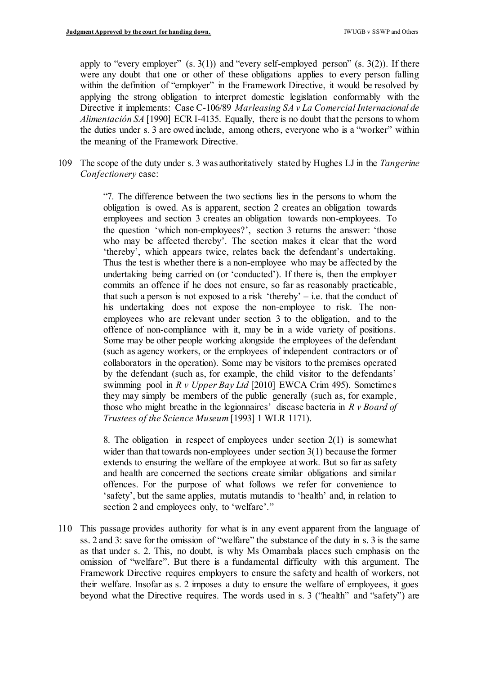apply to "every employer"  $(s. 3(1))$  and "every self-employed person"  $(s. 3(2))$ . If there were any doubt that one or other of these obligations applies to every person falling within the definition of "employer" in the Framework Directive, it would be resolved by applying the strong obligation to interpret domestic legislation conformably with the Directive it implements: Case C-106/89 *Marleasing SA v La Comercial Internacional de Alimentación SA* [1990] ECR I-4135. Equally, there is no doubt that the persons to whom the duties under s. 3 are owed include, among others, everyone who is a "worker" within the meaning of the Framework Directive.

 109 The scope of the duty under s. 3 was authoritatively stated by Hughes LJ in the *Tangerine Confectionery* case:

> "7. The difference between the two sections lies in the persons to whom the obligation is owed. As is apparent, section 2 creates an obligation towards employees and section 3 creates an obligation towards non-employees. To the question 'which non-employees?', section 3 returns the answer: 'those who may be affected thereby'. The section makes it clear that the word 'thereby', which appears twice, relates back the defendant's undertaking. Thus the test is whether there is a non-employee who may be affected by the undertaking being carried on (or 'conducted'). If there is, then the employer commits an offence if he does not ensure, so far as reasonably practicable, that such a person is not exposed to a risk 'thereby' – i.e. that the conduct of his undertaking does not expose the non-employee to risk. The non- employees who are relevant under section 3 to the obligation, and to the offence of non-compliance with it, may be in a wide variety of positions. Some may be other people working alongside the employees of the defendant (such as agency workers, or the employees of independent contractors or of collaborators in the operation). Some may be visitors to the premises operated by the defendant (such as, for example, the child visitor to the defendants' swimming pool in *R v Upper Bay Ltd* [2010] EWCA Crim 495). Sometimes they may simply be members of the public generally (such as, for example, those who might breathe in the legionnaires' disease bacteria in *R v Board of Trustees of the Science Museum* [1993] 1 WLR 1171).

> 8. The obligation in respect of employees under section  $2(1)$  is somewhat wider than that towards non-employees under section  $3(1)$  because the former extends to ensuring the welfare of the employee at work. But so far as safety and health are concerned the sections create similar obligations and similar offences. For the purpose of what follows we refer for convenience to 'safety', but the same applies, mutatis mutandis to 'health' and, in relation to section 2 and employees only, to 'welfare'."

 110 This passage provides authority for what is in any event apparent from the language of ss. 2 and 3: save for the omission of "welfare" the substance of the duty in s. 3 is the same as that under s. 2. This, no doubt, is why Ms Omambala places such emphasis on the omission of "welfare". But there is a fundamental difficulty with this argument. The Framework Directive requires employers to ensure the safety and health of workers, not their welfare. Insofar as s. 2 imposes a duty to ensure the welfare of employees, it goes beyond what the Directive requires. The words used in s. 3 ("health" and "safety") are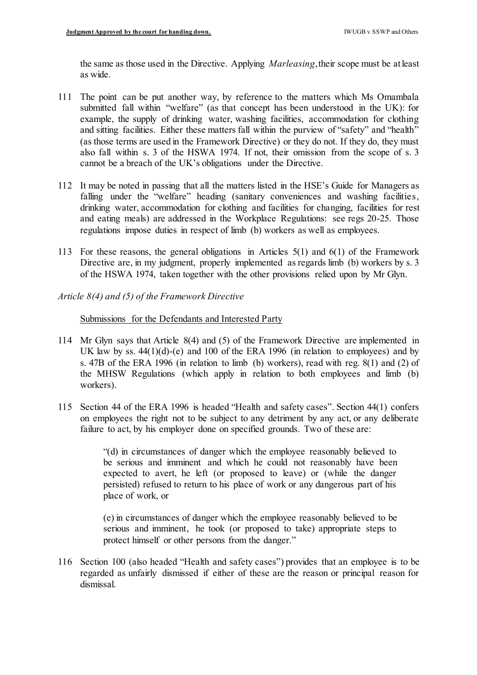the same as those used in the Directive. Applying *Marleasing*,their scope must be at least as wide.

- 111 The point can be put another way, by reference to the matters which Ms Omambala submitted fall within "welfare" (as that concept has been understood in the UK): for example, the supply of drinking water, washing facilities, accommodation for clothing and sitting facilities. Either these matters fall within the purview of "safety" and "health" (as those terms are used in the Framework Directive) or they do not. If they do, they must also fall within s. 3 of the HSWA 1974. If not, their omission from the scope of s. 3 cannot be a breach of the UK's obligations under the Directive.
- 112 It may be noted in passing that all the matters listed in the HSE's Guide for Managers as falling under the "welfare" heading (sanitary conveniences and washing facilities, drinking water, accommodation for clothing and facilities for changing, facilities for rest and eating meals) are addressed in the Workplace Regulations: see regs 20-25. Those regulations impose duties in respect of limb (b) workers as well as employees.
- 113 For these reasons, the general obligations in Articles 5(1) and 6(1) of the Framework Directive are, in my judgment, properly implemented as regards limb (b) workers by s. 3 of the HSWA 1974, taken together with the other provisions relied upon by Mr Glyn.
- *Article 8(4) and (5) of the Framework Directive*

# Submissions for the Defendants and Interested Party

- 114 Mr Glyn says that Article 8(4) and (5) of the Framework Directive are implemented in UK law by ss. 44(1)(d)-(e) and 100 of the ERA 1996 (in relation to employees) and by s. 47B of the ERA 1996 (in relation to limb (b) workers), read with reg. 8(1) and (2) of the MHSW Regulations (which apply in relation to both employees and limb (b) workers).
- 115 Section 44 of the ERA 1996 is headed "Health and safety cases". Section 44(1) confers on employees the right not to be subject to any detriment by any act, or any deliberate failure to act, by his employer done on specified grounds. Two of these are:

 "(d) in circumstances of danger which the employee reasonably believed to be serious and imminent and which he could not reasonably have been expected to avert, he left (or proposed to leave) or (while the danger persisted) refused to return to his place of work or any dangerous part of his place of work, or

 (e) in circumstances of danger which the employee reasonably believed to be serious and imminent, he took (or proposed to take) appropriate steps to protect himself or other persons from the danger."

 116 Section 100 (also headed "Health and safety cases") provides that an employee is to be regarded as unfairly dismissed if either of these are the reason or principal reason for dismissal.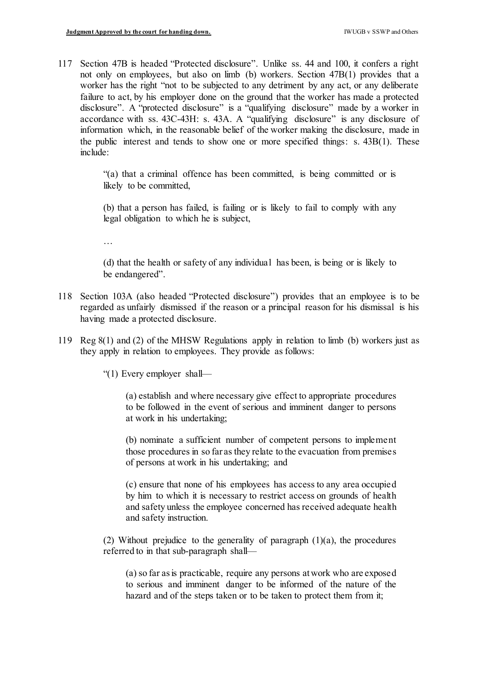117 Section 47B is headed "Protected disclosure". Unlike ss. 44 and 100, it confers a right not only on employees, but also on limb (b) workers. Section 47B(1) provides that a worker has the right "not to be subjected to any detriment by any act, or any deliberate failure to act, by his employer done on the ground that the worker has made a protected disclosure". A "protected disclosure" is a "qualifying disclosure" made by a worker in accordance with ss. 43C-43H: s. 43A. A "qualifying disclosure" is any disclosure of information which, in the reasonable belief of the worker making the disclosure, made in the public interest and tends to show one or more specified things: s. 43B(1). These include:

> "(a) that a criminal offence has been committed, is being committed or is likely to be committed,

> (b) that a person has failed, is failing or is likely to fail to comply with any legal obligation to which he is subject,

…

 (d) that the health or safety of any individual has been, is being or is likely to be endangered".

- 118 Section 103A (also headed "Protected disclosure") provides that an employee is to be regarded as unfairly dismissed if the reason or a principal reason for his dismissal is his having made a protected disclosure.
- 119 Reg 8(1) and (2) of the MHSW Regulations apply in relation to limb (b) workers just as they apply in relation to employees. They provide as follows:

"(1) Every employer shall—

 (a) establish and where necessary give effect to appropriate procedures to be followed in the event of serious and imminent danger to persons at work in his undertaking;

 (b) nominate a sufficient number of competent persons to implement those procedures in so far as they relate to the evacuation from premises of persons at work in his undertaking; and

 (c) ensure that none of his employees has access to any area occupied by him to which it is necessary to restrict access on grounds of health and safety unless the employee concerned has received adequate health and safety instruction.

(2) Without prejudice to the generality of paragraph  $(1)(a)$ , the procedures referred to in that sub-paragraph shall—

 (a) so far as is practicable, require any persons atwork who are exposed to serious and imminent danger to be informed of the nature of the hazard and of the steps taken or to be taken to protect them from it;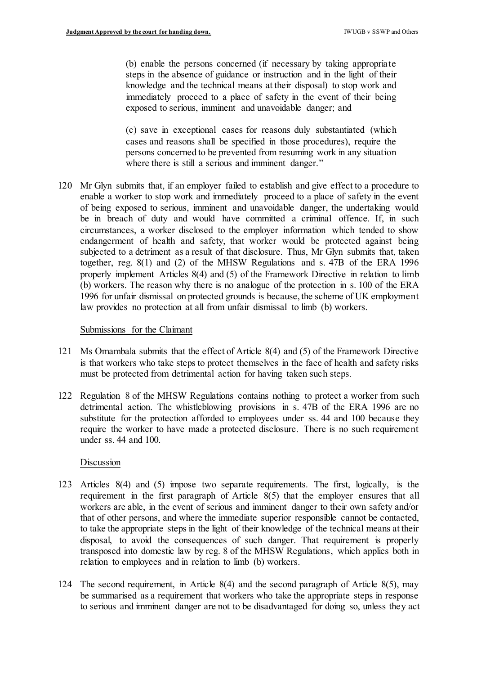(b) enable the persons concerned (if necessary by taking appropriate steps in the absence of guidance or instruction and in the light of their knowledge and the technical means at their disposal) to stop work and immediately proceed to a place of safety in the event of their being exposed to serious, imminent and unavoidable danger; and

 (c) save in exceptional cases for reasons duly substantiated (which cases and reasons shall be specified in those procedures), require the persons concerned to be prevented from resuming work in any situation where there is still a serious and imminent danger."

 120 Mr Glyn submits that, if an employer failed to establish and give effect to a procedure to enable a worker to stop work and immediately proceed to a place of safety in the event of being exposed to serious, imminent and unavoidable danger, the undertaking would be in breach of duty and would have committed a criminal offence. If, in such circumstances, a worker disclosed to the employer information which tended to show endangerment of health and safety, that worker would be protected against being subjected to a detriment as a result of that disclosure. Thus, Mr Glyn submits that, taken together, reg. 8(1) and (2) of the MHSW Regulations and s. 47B of the ERA 1996 properly implement Articles 8(4) and (5) of the Framework Directive in relation to limb (b) workers. The reason why there is no analogue of the protection in s. 100 of the ERA 1996 for unfair dismissal on protected grounds is because, the scheme of UK employment law provides no protection at all from unfair dismissal to limb (b) workers.

#### Submissions for the Claimant

- 121 Ms Omambala submits that the effect of Article 8(4) and (5) of the Framework Directive is that workers who take steps to protect themselves in the face of health and safety risks must be protected from detrimental action for having taken such steps.
- 122 Regulation 8 of the MHSW Regulations contains nothing to protect a worker from such detrimental action. The whistleblowing provisions in s. 47B of the ERA 1996 are no substitute for the protection afforded to employees under ss. 44 and 100 because they require the worker to have made a protected disclosure. There is no such requirement under ss. 44 and 100.

## Discussion

- 123 Articles 8(4) and (5) impose two separate requirements. The first, logically, is the requirement in the first paragraph of Article 8(5) that the employer ensures that all workers are able, in the event of serious and imminent danger to their own safety and/or that of other persons, and where the immediate superior responsible cannot be contacted, to take the appropriate steps in the light of their knowledge of the technical means at their disposal, to avoid the consequences of such danger. That requirement is properly transposed into domestic law by reg. 8 of the MHSW Regulations, which applies both in relation to employees and in relation to limb (b) workers.
- 124 The second requirement, in Article 8(4) and the second paragraph of Article 8(5), may be summarised as a requirement that workers who take the appropriate steps in response to serious and imminent danger are not to be disadvantaged for doing so, unless they act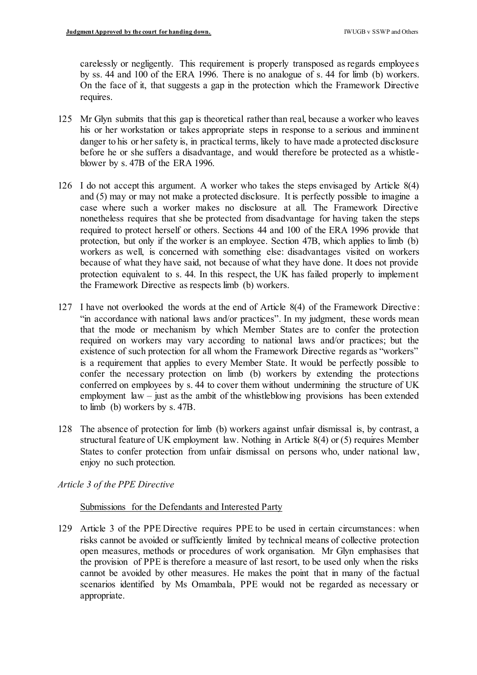carelessly or negligently. This requirement is properly transposed as regards employees by ss. 44 and 100 of the ERA 1996. There is no analogue of s. 44 for limb (b) workers. On the face of it, that suggests a gap in the protection which the Framework Directive requires.

- 125 Mr Glyn submits that this gap is theoretical rather than real, because a worker who leaves his or her workstation or takes appropriate steps in response to a serious and imminent danger to his or her safety is, in practical terms, likely to have made a protected disclosure before he or she suffers a disadvantage, and would therefore be protected as a whistle-blower by s. 47B of the ERA 1996.
- 126 I do not accept this argument. A worker who takes the steps envisaged by Article 8(4) and (5) may or may not make a protected disclosure. It is perfectly possible to imagine a case where such a worker makes no disclosure at all. The Framework Directive nonetheless requires that she be protected from disadvantage for having taken the steps required to protect herself or others. Sections 44 and 100 of the ERA 1996 provide that protection, but only if the worker is an employee. Section 47B, which applies to limb (b) workers as well, is concerned with something else: disadvantages visited on workers because of what they have said, not because of what they have done. It does not provide protection equivalent to s. 44. In this respect, the UK has failed properly to implement the Framework Directive as respects limb (b) workers.
- 127 I have not overlooked the words at the end of Article 8(4) of the Framework Directive : "in accordance with national laws and/or practices". In my judgment, these words mean that the mode or mechanism by which Member States are to confer the protection required on workers may vary according to national laws and/or practices; but the existence of such protection for all whom the Framework Directive regards as "workers" is a requirement that applies to every Member State. It would be perfectly possible to confer the necessary protection on limb (b) workers by extending the protections conferred on employees by s. 44 to cover them without undermining the structure of UK employment law – just as the ambit of the whistleblowing provisions has been extended to limb (b) workers by s. 47B.
- 128 The absence of protection for limb (b) workers against unfair dismissal is, by contrast, a structural feature of UK employment law. Nothing in Article 8(4) or (5) requires Member States to confer protection from unfair dismissal on persons who, under national law, enjoy no such protection.

## *Article 3 of the PPE Directive*

## Submissions for the Defendants and Interested Party

 129 Article 3 of the PPE Directive requires PPE to be used in certain circumstances: when risks cannot be avoided or sufficiently limited by technical means of collective protection open measures, methods or procedures of work organisation. Mr Glyn emphasises that the provision of PPE is therefore a measure of last resort, to be used only when the risks cannot be avoided by other measures. He makes the point that in many of the factual scenarios identified by Ms Omambala, PPE would not be regarded as necessary or appropriate.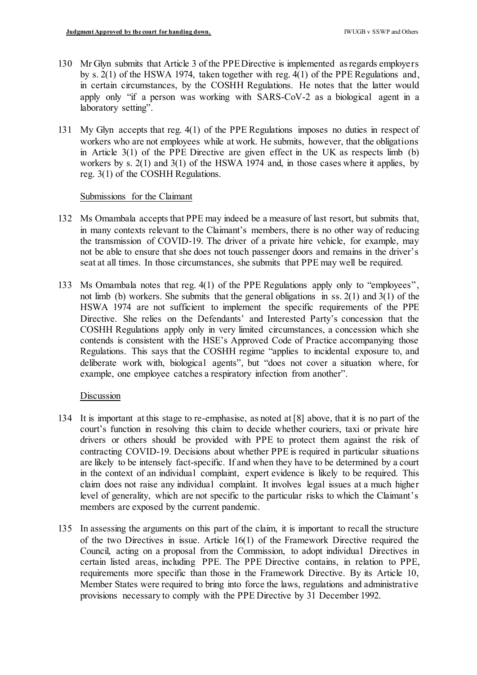- 130 Mr Glyn submits that Article 3 of the PPEDirective is implemented as regards employers by s. 2(1) of the HSWA 1974, taken together with reg. 4(1) of the PPE Regulations and, in certain circumstances, by the COSHH Regulations. He notes that the latter would apply only "if a person was working with SARS-CoV-2 as a biological agent in a laboratory setting".
- 131 My Glyn accepts that reg. 4(1) of the PPE Regulations imposes no duties in respect of workers who are not employees while at work. He submits, however, that the obligations in Article  $3(1)$  of the PPE Directive are given effect in the UK as respects limb (b) workers by s. 2(1) and 3(1) of the HSWA 1974 and, in those cases where it applies, by reg. 3(1) of the COSHH Regulations.

## Submissions for the Claimant

- 132 Ms Omambala accepts that PPE may indeed be a measure of last resort, but submits that, in many contexts relevant to the Claimant's members, there is no other way of reducing the transmission of COVID-19. The driver of a private hire vehicle, for example, may not be able to ensure that she does not touch passenger doors and remains in the driver's seat at all times. In those circumstances, she submits that PPE may well be required.
- 133 Ms Omambala notes that reg. 4(1) of the PPE Regulations apply only to "employees", not limb (b) workers. She submits that the general obligations in ss. 2(1) and 3(1) of the HSWA 1974 are not sufficient to implement the specific requirements of the PPE Directive. She relies on the Defendants' and Interested Party's concession that the COSHH Regulations apply only in very limited circumstances, a concession which she contends is consistent with the HSE's Approved Code of Practice accompanying those Regulations. This says that the COSHH regime "applies to incidental exposure to, and deliberate work with, biological agents", but "does not cover a situation where, for example, one employee catches a respiratory infection from another".

## **Discussion**

- 134 It is important at this stage to re-emphasise, as noted at [8] above, that it is no part of the court's function in resolving this claim to decide whether couriers, taxi or private hire drivers or others should be provided with PPE to protect them against the risk of contracting COVID-19. Decisions about whether PPE is required in particular situations are likely to be intensely fact-specific. If and when they have to be determined by a court in the context of an individual complaint, expert evidence is likely to be required. This claim does not raise any individual complaint. It involves legal issues at a much higher level of generality, which are not specific to the particular risks to which the Claimant's members are exposed by the current pandemic.
- 135 In assessing the arguments on this part of the claim, it is important to recall the structure of the two Directives in issue. Article 16(1) of the Framework Directive required the Council, acting on a proposal from the Commission, to adopt individual Directives in certain listed areas, including PPE. The PPE Directive contains, in relation to PPE, requirements more specific than those in the Framework Directive. By its Article 10, Member States were required to bring into force the laws, regulations and administrative provisions necessary to comply with the PPE Directive by 31 December 1992.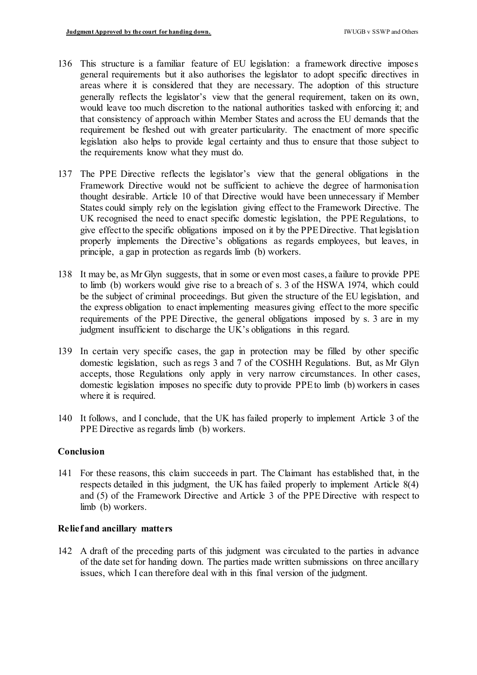- 136 This structure is a familiar feature of EU legislation: a framework directive imposes general requirements but it also authorises the legislator to adopt specific directives in areas where it is considered that they are necessary. The adoption of this structure generally reflects the legislator's view that the general requirement, taken on its own, would leave too much discretion to the national authorities tasked with enforcing it; and that consistency of approach within Member States and across the EU demands that the requirement be fleshed out with greater particularity. The enactment of more specific legislation also helps to provide legal certainty and thus to ensure that those subject to the requirements know what they must do.
- 137 The PPE Directive reflects the legislator's view that the general obligations in the Framework Directive would not be sufficient to achieve the degree of harmonisation thought desirable. Article 10 of that Directive would have been unnecessary if Member States could simply rely on the legislation giving effect to the Framework Directive. The UK recognised the need to enact specific domestic legislation, the PPE Regulations, to give effectto the specific obligations imposed on it by the PPEDirective. That legislation properly implements the Directive's obligations as regards employees, but leaves, in principle, a gap in protection as regards limb (b) workers.
- 138 It may be, as Mr Glyn suggests, that in some or even most cases, a failure to provide PPE to limb (b) workers would give rise to a breach of s. 3 of the HSWA 1974, which could be the subject of criminal proceedings. But given the structure of the EU legislation, and the express obligation to enact implementing measures giving effect to the more specific requirements of the PPE Directive, the general obligations imposed by s. 3 are in my judgment insufficient to discharge the UK's obligations in this regard.
- 139 In certain very specific cases, the gap in protection may be filled by other specific domestic legislation, such as regs 3 and 7 of the COSHH Regulations. But, as Mr Glyn accepts, those Regulations only apply in very narrow circumstances. In other cases, domestic legislation imposes no specific duty to provide PPEto limb (b) workers in cases where it is required.
- 140 It follows, and I conclude, that the UK has failed properly to implement Article 3 of the PPE Directive as regards limb (b) workers.

## **Conclusion**

 141 For these reasons, this claim succeeds in part. The Claimant has established that, in the respects detailed in this judgment, the UK has failed properly to implement Article 8(4) and (5) of the Framework Directive and Article 3 of the PPE Directive with respect to limb (b) workers.

## **Relief and ancillary matters**

 142 A draft of the preceding parts of this judgment was circulated to the parties in advance of the date set for handing down. The parties made written submissions on three ancillary issues, which I can therefore deal with in this final version of the judgment.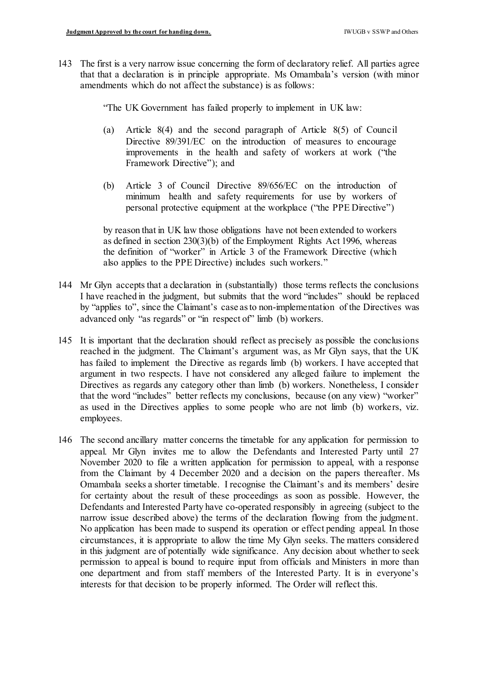143 The first is a very narrow issue concerning the form of declaratory relief. All parties agree that that a declaration is in principle appropriate. Ms Omambala's version (with minor amendments which do not affect the substance) is as follows:

"The UK Government has failed properly to implement in UK law:

- (a) Article 8(4) and the second paragraph of Article 8(5) of Council Directive 89/391/EC on the introduction of measures to encourage improvements in the health and safety of workers at work ("the Framework Directive"); and
- (b) Article 3 of Council Directive 89/656/EC on the introduction of minimum health and safety requirements for use by workers of personal protective equipment at the workplace ("the PPE Directive")

 by reason that in UK law those obligations have not been extended to workers as defined in section 230(3)(b) of the Employment Rights Act 1996, whereas the definition of "worker" in Article 3 of the Framework Directive (which also applies to the PPE Directive) includes such workers."

- 144 Mr Glyn accepts that a declaration in (substantially) those terms reflects the conclusions I have reached in the judgment, but submits that the word "includes" should be replaced by "applies to", since the Claimant's case as to non-implementation of the Directives was advanced only "as regards" or "in respect of" limb (b) workers.
- 145 It is important that the declaration should reflect as precisely as possible the conclusions reached in the judgment. The Claimant's argument was, as Mr Glyn says, that the UK has failed to implement the Directive as regards limb (b) workers. I have accepted that argument in two respects. I have not considered any alleged failure to implement the Directives as regards any category other than limb (b) workers. Nonetheless, I consider that the word "includes" better reflects my conclusions, because (on any view) "worker" as used in the Directives applies to some people who are not limb (b) workers, viz. employees.
- 146 The second ancillary matter concerns the timetable for any application for permission to appeal. Mr Glyn invites me to allow the Defendants and Interested Party until 27 November 2020 to file a written application for permission to appeal, with a response from the Claimant by 4 December 2020 and a decision on the papers thereafter. Ms Omambala seeks a shorter timetable. I recognise the Claimant's and its members' desire for certainty about the result of these proceedings as soon as possible. However, the Defendants and Interested Party have co-operated responsibly in agreeing (subject to the narrow issue described above) the terms of the declaration flowing from the judgment. No application has been made to suspend its operation or effect pending appeal. In those circumstances, it is appropriate to allow the time My Glyn seeks. The matters considered in this judgment are of potentially wide significance. Any decision about whether to seek permission to appeal is bound to require input from officials and Ministers in more than one department and from staff members of the Interested Party. It is in everyone's interests for that decision to be properly informed. The Order will reflect this.